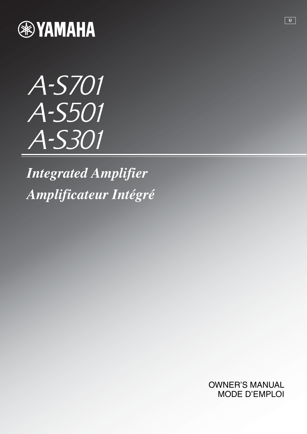

# A-S701 A-S501 A-S301

*Integrated Amplifier Amplificateur Intégré*

> OWNER'S MANUAL MODE D'EMPLOI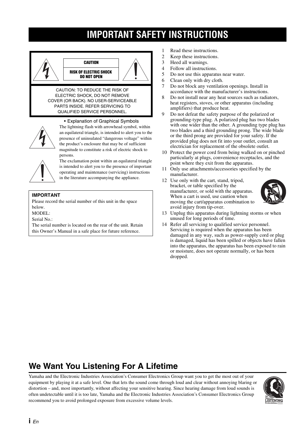# **IMPORTANT SAFETY INSTRUCTIONS**





• Explanation of Graphical Symbols The lightning flash with arrowhead symbol, within an equilateral triangle, is intended to alert you to the presence of uninsulated "dangerous voltage" within the product's enclosure that may be of sufficient magnitude to constitute a risk of electric shock to



persons.

The exclamation point within an equilateral triangle is intended to alert you to the presence of important operating and maintenance (servicing) instructions in the literature accompanying the appliance.

### **IMPORTANT**

Please record the serial number of this unit in the space below.

MODEL:

Serial No.:

The serial number is located on the rear of the unit. Retain this Owner's Manual in a safe place for future reference.

- 1 Read these instructions.
- 2 Keep these instructions.
- 3 Heed all warnings.
- 4 Follow all instructions.
- 5 Do not use this apparatus near water.
- 6 Clean only with dry cloth.
- 7 Do not block any ventilation openings. Install in accordance with the manufacturer's instructions.
- 8 Do not install near any heat sources such as radiators, heat registers, stoves, or other apparatus (including amplifiers) that produce heat.
- 9 Do not defeat the safety purpose of the polarized or grounding-type plug. A polarized plug has two blades with one wider than the other. A grounding type plug has two blades and a third grounding prong. The wide blade or the third prong are provided for your safety. If the provided plug does not fit into your outlet, consult an electrician for replacement of the obsolete outlet.
- 10 Protect the power cord from being walked on or pinched particularly at plugs, convenience receptacles, and the point where they exit from the apparatus.
- 11 Only use attachments/accessories specified by the manufacturer.
- 12 Use only with the cart, stand, tripod, bracket, or table specified by the manufacturer, or sold with the apparatus. When a cart is used, use caution when moving the cart/apparatus combination to avoid injury from tip-over.



- 13 Unplug this apparatus during lightning storms or when unused for long periods of time.
- 14 Refer all servicing to qualified service personnel. Servicing is required when the apparatus has been damaged in any way, such as power-supply cord or plug is damaged, liquid has been spilled or objects have fallen into the apparatus, the apparatus has been exposed to rain or moisture, does not operate normally, or has been dropped.

### **We Want You Listening For A Lifetime**

Yamaha and the Electronic Industries Association's Consumer Electronics Group want you to get the most out of your equipment by playing it at a safe level. One that lets the sound come through loud and clear without annoying blaring or distortion – and, most importantly, without affecting your sensitive hearing. Since hearing damage from loud sounds is often undetectable until it is too late, Yamaha and the Electronic Industries Association's Consumer Electronics Group recommend you to avoid prolonged exposure from excessive volume levels.

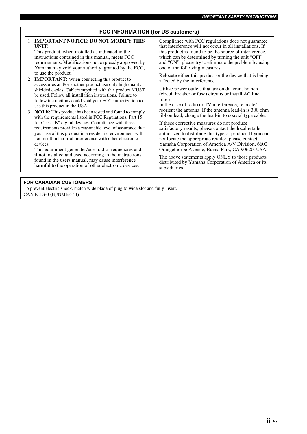### **FCC INFORMATION (for US customers)**

#### 1 **IMPORTANT NOTICE: DO NOT MODIFY THIS UNIT!**

This product, when installed as indicated in the instructions contained in this manual, meets FCC requirements. Modifications not expressly approved by Yamaha may void your authority, granted by the FCC, to use the product.

- 2 **IMPORTANT:** When connecting this product to accessories and/or another product use only high quality shielded cables. Cable/s supplied with this product MUST be used. Follow all installation instructions. Failure to follow instructions could void your FCC authorization to use this product in the USA.
- 3 **NOTE:** This product has been tested and found to comply with the requirements listed in FCC Regulations, Part 15 for Class "B" digital devices. Compliance with these requirements provides a reasonable level of assurance that your use of this product in a residential environment will not result in harmful interference with other electronic devices.

This equipment generates/uses radio frequencies and, if not installed and used according to the instructions found in the users manual, may cause interference harmful to the operation of other electronic devices.

Compliance with FCC regulations does not guarantee that interference will not occur in all installations. If this product is found to be the source of interference, which can be determined by turning the unit "OFF" and "ON", please try to eliminate the problem by using one of the following measures:

Relocate either this product or the device that is being affected by the interference.

Utilize power outlets that are on different branch (circuit breaker or fuse) circuits or install AC line filter/s.

In the case of radio or TV interference, relocate/ reorient the antenna. If the antenna lead-in is 300 ohm ribbon lead, change the lead-in to coaxial type cable.

If these corrective measures do not produce satisfactory results, please contact the local retailer authorized to distribute this type of product. If you can not locate the appropriate retailer, please contact Yamaha Corporation of America A/V Division, 6600 Orangethorpe Avenue, Buena Park, CA 90620, USA.

The above statements apply ONLY to those products distributed by Yamaha Corporation of America or its subsidiaries.

#### **FOR CANADIAN CUSTOMERS**

To prevent electric shock, match wide blade of plug to wide slot and fully insert. CAN ICES-3 (B)/NMB-3(B)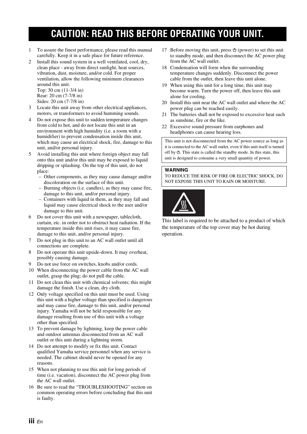# **CAUTION: READ THIS BEFORE OPERATING YOUR UNIT.**

- 1 To assure the finest performance, please read this manual carefully. Keep it in a safe place for future reference.
- 2 Install this sound system in a well ventilated, cool, dry, clean place - away from direct sunlight, heat sources, vibration, dust, moisture, and/or cold. For proper ventilation, allow the following minimum clearances around this unit. Top: 30 cm (11-3/4 in)

Rear: 20 cm (7-7/8 in)

- Sides: 20 cm (7-7/8 in)
- 3 Locate this unit away from other electrical appliances, motors, or transformers to avoid humming sounds.
- 4 Do not expose this unit to sudden temperature changes from cold to hot, and do not locate this unit in an environment with high humidity (i.e. a room with a humidifier) to prevent condensation inside this unit, which may cause an electrical shock, fire, damage to this unit, and/or personal injury.
- 5 Avoid installing this unit where foreign object may fall onto this unit and/or this unit may be exposed to liquid dripping or splashing. On the top of this unit, do not place:
	- Other components, as they may cause damage and/or discoloration on the surface of this unit.
	- Burning objects (i.e. candles), as they may cause fire, damage to this unit, and/or personal injury.
	- Containers with liquid in them, as they may fall and liquid may cause electrical shock to the user and/or damage to this unit.
- 6 Do not cover this unit with a newspaper, tablecloth, curtain, etc. in order not to obstruct heat radiation. If the temperature inside this unit rises, it may cause fire, damage to this unit, and/or personal injury.
- 7 Do not plug in this unit to an AC wall outlet until all connections are complete.
- 8 Do not operate this unit upside-down. It may overheat, possibly causing damage.
- 9 Do not use force on switches, knobs and/or cords.
- 10 When disconnecting the power cable from the AC wall outlet, grasp the plug; do not pull the cable.
- 11 Do not clean this unit with chemical solvents; this might damage the finish. Use a clean, dry cloth.
- 12 Only voltage specified on this unit must be used. Using this unit with a higher voltage than specified is dangerous and may cause fire, damage to this unit, and/or personal injury. Yamaha will not be held responsible for any damage resulting from use of this unit with a voltage other than specified.
- 13 To prevent damage by lightning, keep the power cable and outdoor antennas disconnected from an AC wall outlet or this unit during a lightning storm.
- 14 Do not attempt to modify or fix this unit. Contact qualified Yamaha service personnel when any service is needed. The cabinet should never be opened for any reasons.
- 15 When not planning to use this unit for long periods of time (i.e. vacation), disconnect the AC power plug from the AC wall outlet.
- 16 Be sure to read the "TROUBLESHOOTING" section on common operating errors before concluding that this unit is faulty.
- 17 Before moving this unit, press  $\Phi$  (power) to set this unit to standby mode, and then disconnect the AC power plug from the AC wall outlet.
- 18 Condensation will form when the surrounding temperature changes suddenly. Disconnect the power cable from the outlet, then leave this unit alone.
- 19 When using this unit for a long time, this unit may become warm. Turn the power off, then leave this unit alone for cooling.
- 20 Install this unit near the AC wall outlet and where the AC power plug can be reached easily.
- 21 The batteries shall not be exposed to excessive heat such as sunshine, fire or the like.
- 22 Excessive sound pressure from earphones and headphones can cause hearing loss.

This unit is not disconnected from the AC power source as long as it is connected to the AC wall outlet, even if this unit itself is turned off by  $\Phi$ . This state is called the standby mode. In this state, this unit is designed to consume a very small quantity of power.

### **WARNING**

TO REDUCE THE RISK OF FIRE OR ELECTRIC SHOCK, DO NOT EXPOSE THIS UNIT TO RAIN OR MOISTURE.



This label is required to be attached to a product of which the temperature of the top cover may be hot during operation.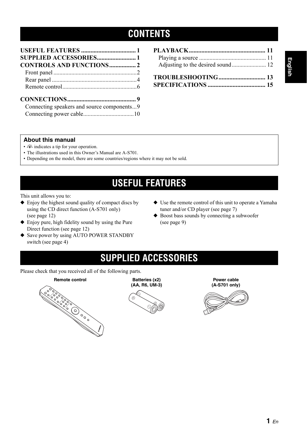### **CONTENTS**

| SUPPLIED ACCESSORIES 1                     |  |
|--------------------------------------------|--|
| <b>CONTROLS AND FUNCTIONS 2</b>            |  |
|                                            |  |
|                                            |  |
|                                            |  |
|                                            |  |
| Connecting speakers and source components9 |  |
|                                            |  |

### **About this manual**

- $\frac{1}{2}$  indicates a tip for your operation.
- The illustrations used in this Owner's Manual are A-S701.
- Depending on the model, there are some countries/regions where it may not be sold.

# **USEFUL FEATURES**

<span id="page-4-0"></span>This unit allows you to:

- ◆ Enjoy the highest sound quality of compact discs by using the CD direct function (A-S701 only) (see page [12](#page-15-2))
- ◆ Enjoy pure, high fidelity sound by using the Pure Direct function (see page [12](#page-15-1))
- ◆ Save power by using AUTO POWER STANDBY switch (see page [4](#page-7-1))
- ◆ Use the remote control of this unit to operate a Yamaha tuner and/or CD player (see page [7](#page-10-0))
- ◆ Boost bass sounds by connecting a subwoofer (see page [9\)](#page-12-2)

## **SUPPLIED ACCESSORIES**

<span id="page-4-1"></span>Please check that you received all of the following parts.





**Power cable (A-S701 only)**

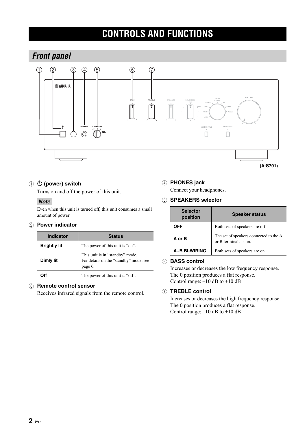# **CONTROLS AND FUNCTIONS**

### <span id="page-5-2"></span><span id="page-5-1"></span><span id="page-5-0"></span>*Front panel*



### ① **① (power) switch**

Turns on and off the power of this unit.

### *Note*

Even when this unit is turned off, this unit consumes a small amount of power.

### 2 **Power indicator**

| Indicator           | <b>Status</b>                                                                        |  |  |
|---------------------|--------------------------------------------------------------------------------------|--|--|
| <b>Brightly lit</b> | The power of this unit is "on".                                                      |  |  |
| Dimly lit           | This unit is in "standby" mode.<br>For details on the "standby" mode, see<br>page 6. |  |  |
|                     | The power of this unit is "off".                                                     |  |  |

### 3 **Remote control sensor**

Receives infrared signals from the remote control.

### 4 **PHONES jack**

Connect your headphones.

### 5 **SPEAKERS selector**

| <b>Selector</b><br>position | <b>Speaker status</b>                                           |  |  |  |
|-----------------------------|-----------------------------------------------------------------|--|--|--|
| OFF                         | Both sets of speakers are off.                                  |  |  |  |
| A or B                      | The set of speakers connected to the A<br>or B terminals is on. |  |  |  |
| A+B BI-WIRING               | Both sets of speakers are on.                                   |  |  |  |

### 6 **BASS control**

Increases or decreases the low frequency response. The 0 position produces a flat response. Control range: –10 dB to +10 dB

### 7 **TREBLE control**

Increases or decreases the high frequency response. The 0 position produces a flat response. Control range:  $-10$  dB to  $+10$  dB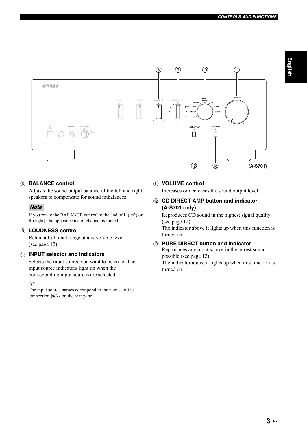

### <span id="page-6-0"></span>8 **BALANCE control**

Adjusts the sound output balance of the left and right speakers to compensate for sound imbalances.

### *Note*

If you rotate the BALANCE control to the end of L (left) or R (right), the opposite side of channel is muted.

### 9 **LOUDNESS control**

Retain a full tonal range at any volume level (see page [12](#page-15-3)).

### 0 **INPUT selector and indicators**

Selects the input source you want to listen to. The input source indicators light up when the corresponding input sources are selected.

### √¦∕<br>∠`®

The input source names correspond to the names of the connection jacks on the rear panel.

### A **VOLUME control**

Increases or decreases the sound output level.

### **(2) CD DIRECT AMP button and indicator (A-S701 only)**

Reproduces CD sound in the highest signal quality (see page [12](#page-15-2)).

The indicator above it lights up when this function is turned on.

### **(3) PURE DIRECT button and indicator**

Reproduces any input source in the purest sound possible (see page [12\)](#page-15-4).

The indicator above it lights up when this function is turned on.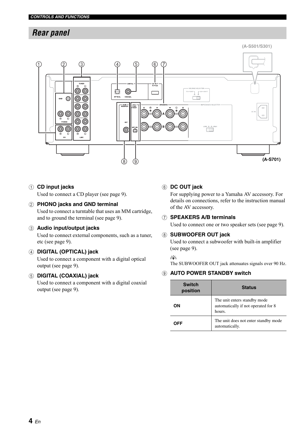### <span id="page-7-0"></span>*Rear panel*



### 1 **CD input jacks**

Used to connect a CD player (see page [9\)](#page-12-2).

### 2 **PHONO jacks and GND terminal**

Used to connect a turntable that uses an MM cartridge, and to ground the terminal (see page [9](#page-12-2)).

### 3 **Audio input/output jacks**

Used to connect external components, such as a tuner, etc (see page [9\)](#page-12-2).

### 4 **DIGITAL (OPTICAL) jack**

Used to connect a component with a digital optical output (see page [9\)](#page-12-2).

### 5 **DIGITAL (COAXIAL) jack**

Used to connect a component with a digital coaxial output (see page [9\)](#page-12-2).

### 6 **DC OUT jack**

For supplying power to a Yamaha AV accessory. For details on connections, refer to the instruction manual of the AV accessory.

### 7 **SPEAKERS A/B terminals**

Used to connect one or two speaker sets (see page [9\)](#page-12-2).

### 8 **SUBWOOFER OUT jack**

Used to connect a subwoofer with built-in amplifier (see page [9\)](#page-12-2).

### $\leq \phi'$

<span id="page-7-1"></span>The SUBWOOFER OUT jack attenuates signals over 90 Hz.

### 9 **AUTO POWER STANDBY switch**

| <b>Switch</b><br>position | <b>Status</b>                                                                 |  |  |  |
|---------------------------|-------------------------------------------------------------------------------|--|--|--|
| OΝ                        | The unit enters standby mode<br>automatically if not operated for 8<br>hours. |  |  |  |
| OFF                       | The unit does not enter standby mode<br>automatically.                        |  |  |  |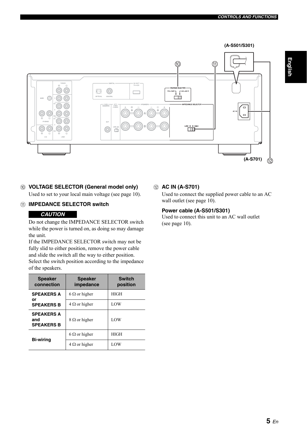

### 0 **VOLTAGE SELECTOR (General model only)** Used to set to your local main voltage (see page [10\)](#page-13-2).

### <span id="page-8-0"></span>A **IMPEDANCE SELECTOR switch**

### *CAUTION*

Do not change the IMPEDANCE SELECTOR switch while the power is turned on, as doing so may damage the unit.

If the IMPEDANCE SELECTOR switch may not be fully slid to either position, remove the power cable and slide the switch all the way to either position. Select the switch position according to the impedance of the speakers.

| <b>Speaker</b><br>connection                  | <b>Speaker</b><br>impedance | <b>Switch</b><br>position |  |
|-----------------------------------------------|-----------------------------|---------------------------|--|
| <b>SPEAKERS A</b>                             | $6 \Omega$ or higher        | HIGH                      |  |
| or<br><b>SPEAKERS B</b>                       | $4 \Omega$ or higher        | LOW                       |  |
| <b>SPEAKERS A</b><br>and<br><b>SPEAKERS B</b> | $8 \Omega$ or higher        | LOW                       |  |
| <b>Bi-wiring</b>                              | $6 \Omega$ or higher        | <b>HIGH</b>               |  |
|                                               | $4 \Omega$ or higher        | LOW                       |  |

### B **AC IN (A-S701)**

Used to connect the supplied power cable to an AC wall outlet (see page [10](#page-13-1)).

### **Power cable (A-S501/S301)**

Used to connect this unit to an AC wall outlet (see page [10](#page-13-1)).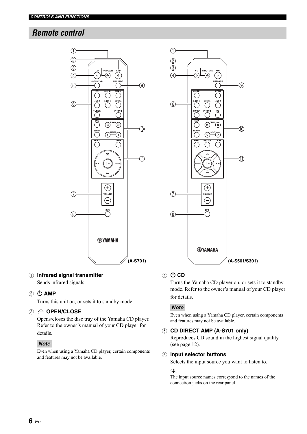### <span id="page-9-0"></span>*Remote control*



### 1 **Infrared signal transmitter** Sends infrared signals.

### ② **小 AMP**

Turns this unit on, or sets it to standby mode.

### 3 **OPEN/CLOSE**

Opens/closes the disc tray of the Yamaha CD player. Refer to the owner's manual of your CD player for details.

### *Note*

Even when using a Yamaha CD player, certain components and features may not be available.



### ④ **OD**

Turns the Yamaha CD player on, or sets it to standby mode. Refer to the owner's manual of your CD player for details.

### *Note*

Even when using a Yamaha CD player, certain components and features may not be available.

### 5 **CD DIRECT AMP (A-S701 only)**

Reproduces CD sound in the highest signal quality (see page [12](#page-15-2)).

### 6 **Input selector buttons**

Selects the input source you want to listen to.

#### $\frac{1}{2}$ %

The input source names correspond to the names of the connection jacks on the rear panel.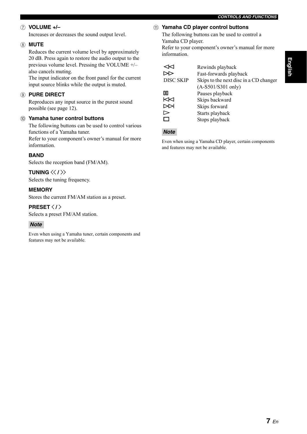### 7 **VOLUME +/–**

<span id="page-10-1"></span>Increases or decreases the sound output level.

### 8 **MUTE**

Reduces the current volume level by approximately 20 dB. Press again to restore the audio output to the previous volume level. Pressing the VOLUME +/– also cancels muting.

The input indicator on the front panel for the current input source blinks while the output is muted.

### 9 **PURE DIRECT**

Reproduces any input source in the purest sound possible (see page [12\)](#page-15-4).

#### 0 **Yamaha tuner control buttons**

The following buttons can be used to control various functions of a Yamaha tuner.

Refer to your component's owner's manual for more information.

### **BAND**

Selects the reception band (FM/AM).

### **TUNING**  $\langle \langle 1 \rangle \rangle$

Selects the tuning frequency.

### **MEMORY**

Stores the current FM/AM station as a preset.

#### **PRESET**  $\langle$  **/**  $\rangle$

Selects a preset FM/AM station.

### *Note*

Even when using a Yamaha tuner, certain components and features may not be available.

### <span id="page-10-0"></span>A **Yamaha CD player control buttons**

The following buttons can be used to control a Yamaha CD player. Refer to your component's owner's manual for more information.

|                  | Rewinds playback                       |
|------------------|----------------------------------------|
|                  | Fast-forwards playback                 |
| <b>DISC SKIP</b> | Skips to the next disc in a CD changer |
|                  | $(A-S501/S301$ only)                   |
| ПO               | Pauses playback                        |
| KℲ               | Skips backward                         |
|                  | Skips forward                          |
| ➢                | Starts playback                        |
|                  | Stops playback                         |

### *Note*

Even when using a Yamaha CD player, certain components and features may not be available.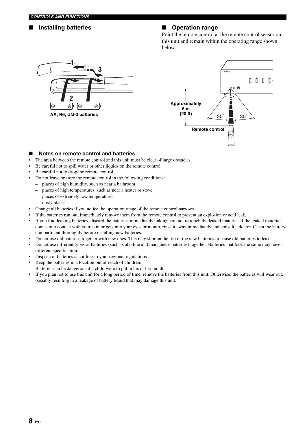### ■ **Installing batteries** ■ **Operation range**

Point the remote control at the remote control sensor on this unit and remain within the operating range shown below.





### **Notes on remote control and batteries**

- The area between the remote control and this unit must be clear of large obstacles.
- Be careful not to spill water or other liquids on the remote control.
- Be careful not to drop the remote control.
- Do not leave or store the remote control in the following conditions:
	- places of high humidity, such as near a bathroom
	- places of high temperatures, such as near a heater or stove
	- places of extremely low temperatures
	- dusty places
- Change all batteries if you notice the operation range of the remote control narrows.
- If the batteries run out, immediately remove them from the remote control to prevent an explosion or acid leak.
- If you find leaking batteries, discard the batteries immediately, taking care not to touch the leaked material. If the leaked material comes into contact with your skin or gets into your eyes or mouth, rinse it away immediately and consult a doctor. Clean the battery compartment thoroughly before installing new batteries.
- Do not use old batteries together with new ones. This may shorten the life of the new batteries or cause old batteries to leak.
- Do not use different types of batteries (such as alkaline and manganese batteries) together. Batteries that look the same may have a different specification.
- Dispose of batteries according to your regional regulations.
- Keep the batteries in a location out of reach of children.
- Batteries can be dangerous if a child were to put in his or her mouth.
- If you plan not to use this unit for a long period of time, remove the batteries from this unit. Otherwise, the batteries will wear out, possibly resulting in a leakage of battery liquid that may damage this unit.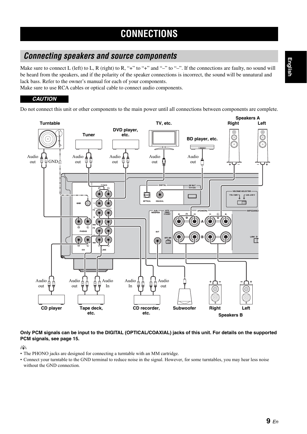### <span id="page-12-2"></span><span id="page-12-1"></span><span id="page-12-0"></span>*Connecting speakers and source components*

Make sure to connect L (left) to L, R (right) to R, "+" to "+" and "-" to "-". If the connections are faulty, no sound will be heard from the speakers, and if the polarity of the speaker connections is incorrect, the sound will be unnatural and lack bass. Refer to the owner's manual for each of your components.

Make sure to use RCA cables or optical cable to connect audio components.

### *CAUTION*

Do not connect this unit or other components to the main power until all connections between components are complete.



### **Only PCM signals can be input to the DIGITAL (OPTICAL/COAXIAL) jacks of this unit. For details on the supported PCM signals, [see page 15](#page-18-1).**

 $\leq \circ$ 

- The PHONO jacks are designed for connecting a turntable with an MM cartridge.
- Connect your turntable to the GND terminal to reduce noise in the signal. However, for some turntables, you may hear less noise without the GND connection.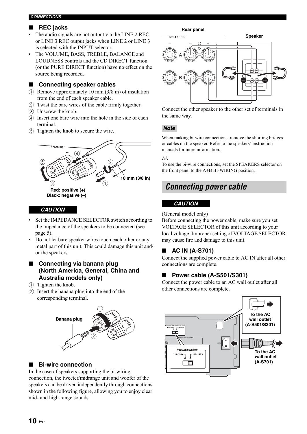#### *CONNECTIONS*

### ■ **REC jacks**

- The audio signals are not output via the LINE 2 REC or LINE 3 REC output jacks when LINE 2 or LINE 3 is selected with the INPUT selector.
- The VOLUME, BASS, TREBLE, BALANCE and LOUDNESS controls and the CD DIRECT function (or the PURE DIRECT function) have no effect on the source being recorded.

### <span id="page-13-2"></span>■ **Connecting speaker cables**

- $(1)$  Remove approximately 10 mm (3/8 in) of insulation from the end of each speaker cable.
- 2 Twist the bare wires of the cable firmly together.
- 3 Unscrew the knob.
- 4 Insert one bare wire into the hole in the side of each terminal.
- 5 Tighten the knob to secure the wire.



### *CAUTION*

- Set the IMPEDANCE SELECTOR switch according to the impedance of the speakers to be connected (see page [5](#page-8-0)).
- Do not let bare speaker wires touch each other or any metal part of this unit. This could damage this unit and/ or the speakers.

### ■ Connecting via banana plug **(North America, General, China and Australia models only)**

- 1 Tighten the knob.
- 2 Insert the banana plug into the end of the corresponding terminal.



### <span id="page-13-3"></span>■ **Bi-wire connection**

In the case of speakers supporting the bi-wiring connection, the tweeter/midrange unit and woofer of the speakers can be driven independently through connections shown in the following figure, allowing you to enjoy clear mid- and high-range sounds.



Connect the other speaker to the other set of terminals in the same way.

### *Note*

When making bi-wire connections, remove the shorting bridges or cables on the speaker. Refer to the speakers' instruction manuals for more information.

 $\geq 0$ 

To use the bi-wire connections, set the SPEAKERS selector on the front panel to the A+B BI-WIRING position.

### <span id="page-13-1"></span><span id="page-13-0"></span>*Connecting power cable*

### *CAUTION*

(General model only)

Before connecting the power cable, make sure you set VOLTAGE SELECTOR of this unit according to your local voltage. Improper setting of VOLTAGE SELECTOR may cause fire and damage to this unit.

### ■ **AC IN (A-S701)**

Connect the supplied power cable to AC IN after all other connections are complete.

### ■ **Power cable (A-S501/S301)**

Connect the power cable to an AC wall outlet after all other connections are complete.

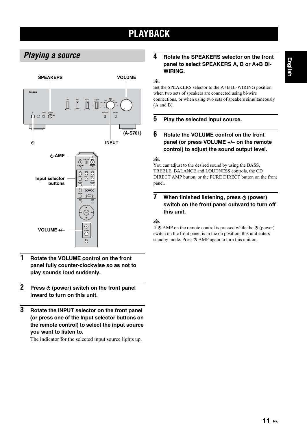# **PLAYBACK**

### <span id="page-14-2"></span><span id="page-14-1"></span><span id="page-14-0"></span>*Playing a source*



- **1 Rotate the VOLUME control on the front panel fully counter-clockwise so as not to play sounds loud suddenly.**
- **2 Press**  $\phi$  **(power) switch on the front panel inward to turn on this unit.**
- **3 Rotate the INPUT selector on the front panel (or press one of the Input selector buttons on the remote control) to select the input source you want to listen to.**

The indicator for the selected input source lights up.

### **4 Rotate the SPEAKERS selector on the front panel to select SPEAKERS A, B or A+B BI-WIRING.**

 $\geq \uparrow$ 

Set the SPEAKERS selector to the A+B BI-WIRING position when two sets of speakers are connected using bi-wire connections, or when using two sets of speakers simultaneously (A and B).

### **5 Play the selected input source.**

### **6 Rotate the VOLUME control on the front panel (or press VOLUME +/– on the remote control) to adjust the sound output level.**

 $\frac{1}{2}$ 

You can adjust to the desired sound by using the BASS, TREBLE, BALANCE and LOUDNESS controls, the CD DIRECT AMP button, or the PURE DIRECT button on the front panel.

### **7** When finished listening, press  $\phi$  (power) **switch on the front panel outward to turn off this unit.**

### $\geq 0$

If  $\Phi$  AMP on the remote control is pressed while the  $\Phi$  (power) switch on the front panel is in the on position, this unit enters standby mode. Press  $\Phi$  AMP again to turn this unit on.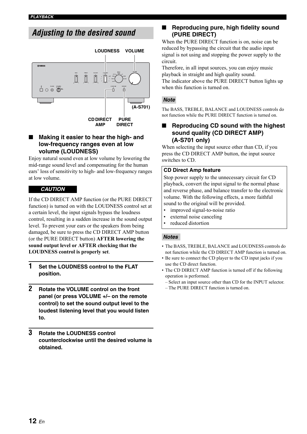### <span id="page-15-1"></span><span id="page-15-0"></span>*Adjusting to the desired sound*



### <span id="page-15-3"></span>**Making it easier to hear the high- and low-frequency ranges even at low volume (LOUDNESS)**

Enjoy natural sound even at low volume by lowering the mid-range sound level and compensating for the human ears' loss of sensitivity to high- and low-frequency ranges at low volume.

### *CAUTION*

If the CD DIRECT AMP function (or the PURE DIRECT function) is turned on with the LOUDNESS control set at a certain level, the input signals bypass the loudness control, resulting in a sudden increase in the sound output level. To prevent your ears or the speakers from being damaged, be sure to press the CD DIRECT AMP button (or the PURE DIRECT button) **AFTER lowering the sound output level or AFTER checking that the LOUDNESS control is properly set**.

- **1 Set the LOUDNESS control to the FLAT position.**
- **2 Rotate the VOLUME control on the front panel (or press VOLUME +/– on the remote control) to set the sound output level to the loudest listening level that you would listen to.**
- **3 Rotate the LOUDNESS control counterclockwise until the desired volume is obtained.**

### <span id="page-15-4"></span>**Reproducing pure, high fidelity sound (PURE DIRECT)**

When the PURE DIRECT function is on, noise can be reduced by bypassing the circuit that the audio input signal is not using and stopping the power supply to the circuit.

Therefore, in all input sources, you can enjoy music playback in straight and high quality sound. The indicator above the PURE DIRECT button lights up when this function is turned on.

### *Note*

The BASS, TREBLE, BALANCE and LOUDNESS controls do not function while the PURE DIRECT function is turned on.

### <span id="page-15-2"></span>**Reproducing CD sound with the highest sound quality (CD DIRECT AMP) (A-S701 only)**

When selecting the input source other than CD, if you press the CD DIRECT AMP button, the input source switches to CD.

### **CD Direct Amp feature**

Stop power supply to the unnecessary circuit for CD playback, convert the input signal to the normal phase and reverse phase, and balance transfer to the electronic volume. With the following effects, a more faithful sound to the original will be provided.

- improved signal-to-noise ratio
- external noise canceling
- reduced distortion

### *Notes*

- The BASS, TREBLE, BALANCE and LOUDNESS controls do not function while the CD DIRECT AMP function is turned on.
- Be sure to connect the CD player to the CD input jacks if you use the CD direct function.
- The CD DIRECT AMP function is turned off if the following operation is performed.
	- Select an input source other than CD for the INPUT selector.
	- The PURE DIRECT function is turned on.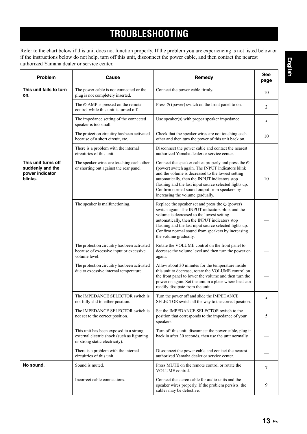# **TROUBLESHOOTING**

<span id="page-16-0"></span>Refer to the chart below if this unit does not function properly. If the problem you are experiencing is not listed below or if the instructions below do not help, turn off this unit, disconnect the power cable, and then contact the nearest authorized Yamaha dealer or service center.

| Problem                                                               | Cause                                                                                                                  | Remedy                                                                                                                                                                                                                                                                                                                                                           | See<br>page |
|-----------------------------------------------------------------------|------------------------------------------------------------------------------------------------------------------------|------------------------------------------------------------------------------------------------------------------------------------------------------------------------------------------------------------------------------------------------------------------------------------------------------------------------------------------------------------------|-------------|
| This unit fails to turn<br>on.                                        | The power cable is not connected or the<br>plug is not completely inserted.                                            | Connect the power cable firmly.                                                                                                                                                                                                                                                                                                                                  | 10          |
|                                                                       | The $\triangle$ AMP is pressed on the remote<br>control while this unit is turned off.                                 | Press $\Phi$ (power) switch on the front panel to on.                                                                                                                                                                                                                                                                                                            | 2           |
|                                                                       | The impedance setting of the connected<br>speaker is too small.                                                        | Use speaker(s) with proper speaker impedance.                                                                                                                                                                                                                                                                                                                    | 5           |
|                                                                       | The protection circuitry has been activated<br>because of a short circuit, etc.                                        | Check that the speaker wires are not touching each<br>other and then turn the power of this unit back on.                                                                                                                                                                                                                                                        | 10          |
|                                                                       | There is a problem with the internal<br>circuitries of this unit.                                                      | Disconnect the power cable and contact the nearest<br>authorized Yamaha dealer or service center.                                                                                                                                                                                                                                                                |             |
| This unit turns off<br>suddenly and the<br>power indicator<br>blinks. | The speaker wires are touching each other<br>or shorting out against the rear panel.                                   | Connect the speaker cables properly and press the $\Phi$<br>(power) switch again. The INPUT indicators blink<br>and the volume is decreased to the lowest setting<br>automatically, then the INPUT indicators stop<br>flashing and the last input source selected lights up.<br>Confirm normal sound output from speakers by<br>increasing the volume gradually. | 10          |
|                                                                       | The speaker is malfunctioning.                                                                                         | Replace the speaker set and press the $\Phi$ (power)<br>switch again. The INPUT indicators blink and the<br>volume is decreased to the lowest setting<br>automatically, then the INPUT indicators stop<br>flashing and the last input source selected lights up.<br>Confirm normal sound from speakers by increasing<br>the volume gradually.                    |             |
|                                                                       | The protection circuitry has been activated<br>because of excessive input or excessive<br>volume level.                | Rotate the VOLUME control on the front panel to<br>decrease the volume level and then turn the power on<br>again.                                                                                                                                                                                                                                                |             |
|                                                                       | The protection circuitry has been activated<br>due to excessive internal temperature.                                  | Allow about 30 minutes for the temperature inside<br>this unit to decrease, rotate the VOLUME control on<br>the front panel to lower the volume and then turn the<br>power on again. Set the unit in a place where heat can<br>readily dissipate from the unit.                                                                                                  |             |
|                                                                       | The IMPEDANCE SELECTOR switch is<br>not fully slid to either position.                                                 | Turn the power off and slide the IMPEDANCE<br>SELECTOR switch all the way to the correct position.                                                                                                                                                                                                                                                               | 5           |
|                                                                       | The IMPEDANCE SELECTOR switch is<br>not set to the correct position.                                                   | Set the IMPEDANCE SELECTOR switch to the<br>position that corresponds to the impedance of your<br>speakers.                                                                                                                                                                                                                                                      | 5           |
|                                                                       | This unit has been exposed to a strong<br>external electric shock (such as lightning<br>or strong static electricity). | Turn off this unit, disconnect the power cable, plug it<br>back in after 30 seconds, then use the unit normally.                                                                                                                                                                                                                                                 |             |
|                                                                       | There is a problem with the internal<br>circuitries of this unit.                                                      | Disconnect the power cable and contact the nearest<br>authorized Yamaha dealer or service center.                                                                                                                                                                                                                                                                |             |
| No sound.                                                             | Sound is muted.                                                                                                        | Press MUTE on the remote control or rotate the<br>VOLUME control.                                                                                                                                                                                                                                                                                                | $\tau$      |
|                                                                       | Incorrect cable connections.                                                                                           | Connect the stereo cable for audio units and the<br>speaker wires properly. If the problem persists, the<br>cables may be defective.                                                                                                                                                                                                                             | 9           |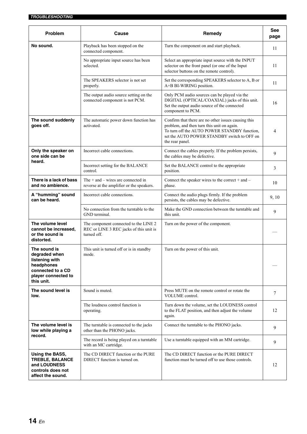| <b>Problem</b>                                                                                                          | Cause                                                                                                                    | Remedy                                                                                                                                                                                                              |       |
|-------------------------------------------------------------------------------------------------------------------------|--------------------------------------------------------------------------------------------------------------------------|---------------------------------------------------------------------------------------------------------------------------------------------------------------------------------------------------------------------|-------|
| No sound.                                                                                                               | Playback has been stopped on the<br>connected component.                                                                 | Turn the component on and start playback.                                                                                                                                                                           | 11    |
|                                                                                                                         | No appropriate input source has been<br>selected.                                                                        | Select an appropriate input source with the INPUT<br>selector on the front panel (or one of the Input<br>selector buttons on the remote control).                                                                   |       |
|                                                                                                                         | The SPEAKERS selector is not set<br>properly.                                                                            | Set the corresponding SPEAKERS selector to A, B or<br>A+B BI-WIRING position.                                                                                                                                       | 11    |
|                                                                                                                         | The output audio source setting on the<br>connected component is not PCM.                                                | Only PCM audio sources can be played via the<br>DIGITAL (OPTICAL/COAXIAL) jacks of this unit.<br>Set the output audio source of the connected<br>component to PCM.                                                  | 16    |
| The sound suddenly<br>goes off.                                                                                         | The automatic power down function has<br>activated.                                                                      | Confirm that there are no other issues causing this<br>problem, and then turn this unit on again.<br>To turn off the AUTO POWER STANDBY function,<br>set the AUTO POWER STANDBY switch to OFF on<br>the rear panel. | 4     |
| Only the speaker on<br>one side can be                                                                                  | Incorrect cable connections.                                                                                             | Connect the cables properly. If the problem persists,<br>the cables may be defective.                                                                                                                               | 9     |
| heard.                                                                                                                  | Incorrect setting for the BALANCE<br>control.                                                                            | Set the BALANCE control to the appropriate<br>position.                                                                                                                                                             | 3     |
| There is a lack of bass<br>and no ambience.                                                                             | The $+$ and $-$ wires are connected in<br>reverse at the amplifier or the speakers.                                      | Connect the speaker wires to the correct + and $-$<br>phase.                                                                                                                                                        | 10    |
| A "humming" sound<br>can be heard.                                                                                      | Incorrect cable connections.<br>Connect the audio plugs firmly. If the problem<br>persists, the cables may be defective. |                                                                                                                                                                                                                     | 9, 10 |
|                                                                                                                         | No connection from the turntable to the<br>GND terminal.                                                                 | Make the GND connection between the turntable and<br>this unit.                                                                                                                                                     | 9     |
| The volume level<br>cannot be increased,<br>or the sound is<br>distorted.                                               | The component connected to the LINE 2<br>REC or LINE 3 REC jacks of this unit is<br>turned off.                          | Turn on the power of the component.                                                                                                                                                                                 |       |
| The sound is<br>degraded when<br>listening with<br>headphones<br>connected to a CD<br>player connected to<br>this unit. | This unit is turned off or is in standby<br>mode.                                                                        | Turn on the power of this unit.                                                                                                                                                                                     |       |
| The sound level is<br>low.                                                                                              | Sound is muted.                                                                                                          | Press MUTE on the remote control or rotate the<br>VOLUME control.                                                                                                                                                   |       |
|                                                                                                                         | The loudness control function is<br>operating.                                                                           | Turn down the volume, set the LOUDNESS control<br>to the FLAT position, and then adjust the volume<br>again.                                                                                                        | 12    |
| The volume level is<br>low while playing a                                                                              | The turntable is connected to the jacks<br>other than the PHONO jacks.                                                   | Connect the turntable to the PHONO jacks.                                                                                                                                                                           |       |
| record.                                                                                                                 | The record is being played on a turntable<br>with an MC cartridge.                                                       | Use a turntable equipped with an MM cartridge.                                                                                                                                                                      | 9     |
| Using the BASS,<br><b>TREBLE, BALANCE</b><br>and LOUDNESS<br>controls does not<br>affect the sound.                     | The CD DIRECT function or the PURE<br>DIRECT function is turned on.                                                      | The CD DIRECT function or the PURE DIRECT<br>function must be turned off to use those controls.                                                                                                                     | 12    |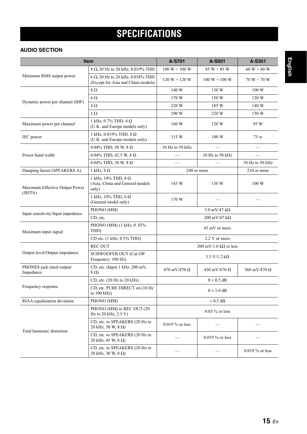# <span id="page-18-1"></span>**SPECIFICATIONS**

### <span id="page-18-0"></span>**AUDIO SECTION**

| <b>Item</b>                            |                                                                        | A-S701                              | A-S501                              | A-S301                   |
|----------------------------------------|------------------------------------------------------------------------|-------------------------------------|-------------------------------------|--------------------------|
|                                        | 8 Ω 20 Hz to 20 kHz, 0.019% THD                                        | $100 W + 100 W$                     | $85 W + 85 W$                       | $60 W + 60 W$            |
| Minimum RMS output power               | 6 Ω 20 Hz to 20 kHz, 0.038% THD<br>(Except for Asia and China models)  | $120 W + 120 W$<br>$100 W + 100 W$  |                                     | $70 W + 70 W$            |
|                                        | 8Ω                                                                     | 140 W                               | 130 W                               | 100 W                    |
| Dynamic power per channel (IHF)        | $6\Omega$                                                              | 170 W                               | 150 W                               | 120 W                    |
|                                        | $4\,\Omega$                                                            | 220 W                               | 185 W                               | 140 W                    |
|                                        | $2 \Omega$                                                             | 290 W                               | 220 W                               | 150 W                    |
| Maximum power per channel              | 1 kHz, 0.7% THD, 4 $\Omega$<br>(U.K. and Europe models only)           | 160 W                               | 120 W                               | 95 W                     |
| IEC power                              | 1 kHz, 0.019% THD, 8 $\Omega$<br>(U.K. and Europe models only)         | 115 W                               | 100 W                               | 75 w                     |
|                                        | 0.04% THD, 50 W, 8 Ω                                                   | 10 Hz to 50 kHz                     | $\equiv$                            | $\overline{\phantom{0}}$ |
| Power band width                       | 0.04% THD, 42.5 W, 8 Ω                                                 |                                     | 10 Hz to 50 kHz                     |                          |
|                                        | 0.04% THD, 30 W, 8 Ω                                                   |                                     |                                     | 10 Hz to 50 kHz          |
| Damping factor (SPEAKERS A)            | 1 kHz, $8 \Omega$                                                      |                                     | 240 or more                         | 210 or more              |
| Maximum Effective Output Power         | 1 kHz, 10% THD, 8 $\Omega$<br>(Asia, China and General models<br>only) | 145 W                               | 130 W                               | 100 W                    |
| (JEITA)                                | 1 kHz, 10% THD, 6 $\Omega$<br>(General model only)                     | 170 W                               |                                     |                          |
| Input sensitivity/Input impedance      | PHONO (MM)                                                             | $3.0 \text{ mV}/47 \text{ k}\Omega$ |                                     |                          |
|                                        | CD, etc.                                                               |                                     | $200 \text{ mV}/47 \text{ k}\Omega$ |                          |
| Maximum input signal                   | PHONO (MM) (1 kHz, 0.03%<br>THD)                                       |                                     | 45 mV or more                       |                          |
|                                        | CD etc. (1 kHz, 0.5% THD)                                              |                                     | 2.2 V or more                       |                          |
|                                        | <b>REC OUT</b>                                                         |                                     | 200 mV/1.0 k $\Omega$ or less       |                          |
| Output level/Output impedance          | SUBWOOFER OUT (Cut Off<br>Frequency: 100 Hz)                           |                                     | $3.5 \text{ V}/1.2 \text{ k}\Omega$ |                          |
| PHONES jack rated output/<br>Impedance | CD, etc. (Input 1 kHz, 200 mV,<br>$8 \Omega$                           | $470 \text{ mV}/470 \Omega$         | 430 mV/470 Ω                        | 360 mV/470 $\Omega$      |
|                                        | CD, etc. (20 Hz to 20 kHz)                                             |                                     | $0 \pm 0.5$ dB                      |                          |
| Frequency response                     | CD, etc. PURE DIRECT on (10 Hz)<br>to $100$ kHz)                       | $0 \pm 1.0$ dB                      |                                     |                          |
| RIAA equalization deviation            | PHONO (MM)                                                             |                                     | $\pm$ 0.5 dB                        |                          |
|                                        | PHONO (MM) to REC OUT (20<br>Hz to 20 kHz, $2.5 V$ )                   | $0.03\%$ or less                    |                                     |                          |
| Total harmonic distortion              | CD, etc. to SPEAKERS (20 Hz to<br>20 kHz, 50 W, 8 Ω)                   | $0.019\%$ or less                   |                                     |                          |
|                                        | CD, etc. to SPEAKERS (20 Hz to<br>20 kHz, 45 W, 8 Ω)                   |                                     | 0.019 % or less                     |                          |
|                                        | CD, etc. to SPEAKERS (20 Hz to<br>20 kHz, 30 W, 8 Ω)                   |                                     |                                     | $0.019 \%$ or less       |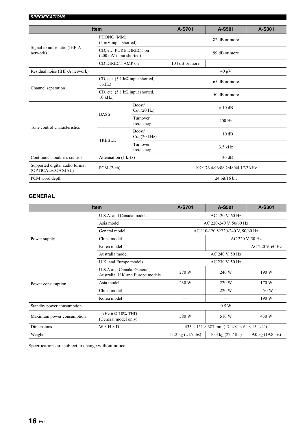| <b>Item</b>                                         |                                                             |                       | A-S701                           | A-S501 | A-S301 |
|-----------------------------------------------------|-------------------------------------------------------------|-----------------------|----------------------------------|--------|--------|
| Signal to noise ratio (IHF-A<br>network)            | PHONO (MM)<br>(5 mV input shorted)                          |                       | 82 dB or more                    |        |        |
|                                                     | CD, etc. PURE DIRECT on<br>(200 mV input shorted)           |                       | 99 dB or more                    |        |        |
|                                                     | CD DIRECT AMP on                                            |                       | 104 dB or more                   |        |        |
| Residual noise (IHF-A network)                      |                                                             |                       | $40 \mu V$                       |        |        |
|                                                     | CD, etc. $(5.1 \text{ k}\Omega$ input shorted,<br>$1$ kHz)  |                       | 65 dB or more                    |        |        |
| Channel separation                                  | CD, etc. $(5.1 \text{ k}\Omega$ input shorted,<br>$10$ kHz) |                       | 50 dB or more                    |        |        |
| Tone control characteristics                        | <b>BASS</b>                                                 | Boost/<br>Cut(20 Hz)  | $\pm 10$ dB                      |        |        |
|                                                     |                                                             | Turnover<br>frequency | $400$ Hz                         |        |        |
|                                                     | <b>TREBLE</b>                                               | Boost/<br>Cut(20 kHz) | $\pm 10$ dB                      |        |        |
|                                                     |                                                             | Turnover<br>frequency | $3.5$ kHz                        |        |        |
| Continuous loudness control                         | Attenuation (1 kHz)                                         |                       | $-30$ dB                         |        |        |
| Supported digital audio format<br>(OPTICAL/COAXIAL) | $PCM$ (2-ch)                                                |                       | 192/176.4/96/88.2/48/44.1/32 kHz |        |        |
| PCM word depth                                      |                                                             | 24 bit/16 bit         |                                  |        |        |

### <span id="page-19-0"></span>**GENERAL**

| <b>Item</b>               |                                                                | A-S701                                                              | A-S501            | A-S301          |  |
|---------------------------|----------------------------------------------------------------|---------------------------------------------------------------------|-------------------|-----------------|--|
|                           | U.S.A. and Canada models                                       | AC 120 V, 60 Hz                                                     |                   |                 |  |
|                           | Asia model                                                     | AC 220-240 V, 50/60 Hz                                              |                   |                 |  |
|                           | General model                                                  | AC 110-120 V/220-240 V, 50/60 Hz                                    |                   |                 |  |
| Power supply              | China model                                                    | AC 220 V, 50 Hz                                                     |                   |                 |  |
|                           | Korea model                                                    |                                                                     |                   | AC 220 V, 60 Hz |  |
|                           | Australia model                                                | AC 240 V, 50 Hz                                                     |                   |                 |  |
|                           | U.K. and Europe models                                         | AC 230 V, 50 Hz                                                     |                   |                 |  |
|                           | U.S.A and Canada, General,<br>Australia, U.K and Europe models | 270 W                                                               | 240 W             | 190 W           |  |
| Power consumption         | Asia model                                                     | 230 W                                                               | 220 W             | 170 W           |  |
|                           | China model                                                    |                                                                     | 220 W             | 170 W           |  |
|                           | Korea model                                                    |                                                                     |                   | 190 W           |  |
| Standby power consumption |                                                                |                                                                     | 0.5 W             |                 |  |
| Maximum power consumption | $1$ kHz 6 $\Omega$ 10% THD<br>(General model only)             | 580 W<br>510 W                                                      |                   | 430 W           |  |
| Dimensions                | $W \times H \times D$                                          | $435 \times 151 \times 387$ mm $(17-1/8" \times 6" \times 15-1/4")$ |                   |                 |  |
| Weight                    | $11.2 \text{ kg} (24.7 \text{ lbs})$                           | $10.3 \text{ kg} (22.7 \text{ lbs})$                                | 9.0 kg (19.8 lbs) |                 |  |

Specifications are subject to change without notice.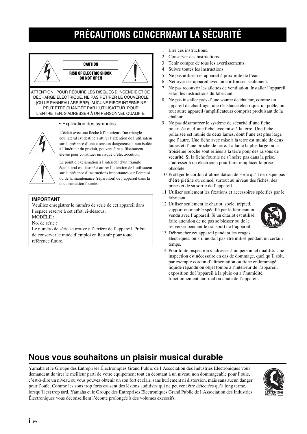# **PRÉCAUTIONS CONCERNANT LA SÉCURITÉ**



#### • Explication des symboles



L'éclair avec une flèche à l'intérieur d'un triangle équilatéral est destiné à attirer l'attention de l'utilisateur sur la présence d'une « tension dangereuse » non isolée à l'intérieur du produit, pouvant être suffisamment élevée pour constituer un risque d'électrocution.



Le point d'exclamation à l'intérieur d'un triangle équilatéral est destiné à attirer l'attention de l'utilisateur sur la présence d'instructions importantes sur l'emploi ou de la maintenance (réparation) de l'appareil dans la documentation fournie.

### **IMPORTANT**

Veuillez enregistrer le numéro de série de cet appareil dans l'espace réservé à cet effet, ci-dessous.

MODÈLE :

No. de série :

Le numéro de série se trouve à l'arrière de l'appareil. Prière de conserver le mode d'emploi en lieu sûr pour toute référence future.

- 1 Lire ces instructions.
- 2 Conserver ces instructions.
- 3 Tenir compte de tous les avertissements.
- 4 Suivre toutes les instructions.
- 5 Ne pas utiliser cet appareil à proximité de l'eau.
- 6 Nettoyer cet appareil avec un chiffon sec seulement.
- 7 Ne pas recouvrir les ailettes de ventilation. Installer l'appareil selon les instructions du fabricant.
- 8 Ne pas installer près d'une source de chaleur, comme un appareil de chauffage, une résistance électrique, un poêle, ou tout autre appareil (amplificateurs compris) produisant de la chaleur.
- 9 Ne pas désamorcer le système de sécurité d'une fiche polarisée ou d'une fiche avec mise à la terre. Une fiche polarisée est munie de deux lames, dont l'une est plus large que l'autre. Une fiche avec mise à la terre est munie de deux lames et d'une broche de terre. La lame la plus large ou la troisième broche sont reliées à la terre pour des raisons de sécurité. Si la fiche fournie ne s'insère pas dans la prise, s'adresser à un électricien pour faire remplacer la prise obsolète.
- 10 Protéger le cordon d'alimentation de sorte qu'il ne risque pas d'être piétiné ou coincé, surtout au niveau des fiches, des prises et de sa sortie de l'appareil.
- 11 Utiliser seulement les fixations et accessoires spécifiés par le fabricant.
- 12 Utiliser seulement le chariot, socle, trépied, support ou meuble spécifié par le fabricant ou vendu avec l'appareil. Si un chariot est utilisé, faire attention de ne pas se blesser ou de le renverser pendant le transport de l'appareil.



- 13 Débrancher cet appareil pendant les orages
	- électriques, ou s'il ne doit pas être utilisé pendant un certain temps.
- 14 Pour toute inspection s'adresser à un personnel qualifié. Une inspection est nécessaire en cas de dommage, quel qu'il soit, par exemple cordon d'alimentation ou fiche endommagé, liquide répandu ou objet tombé à l'intérieur de l'appareil, exposition de l'appareil à la pluie ou à l'humidité, fonctionnement anormal ou chute de l'appareil.

### **Nous vous souhaitons un plaisir musical durable**

Yamaha et le Groupe des Entreprises Électroniques Grand Public de l'Association des Industries Électroniques vous demandent de tirer le meilleur parti de votre équipement tout en écoutant à un niveau non dommageable pour l'ouïe, c'est-à-dire un niveau où vous pouvez obtenir un son fort et clair, sans hurlement ni distorsion, mais sans aucun danger pour l'ouïe. Comme les sons trop forts causent des lésions auditives qui ne peuvent être détectées qu'à long terme, lorsqu'il est trop tard, Yamaha et le Groupe des Entreprises Électroniques Grand Public de l'Association des Industries Électroniques vous déconseillent l'écoute prolongée à des volumes excessifs.

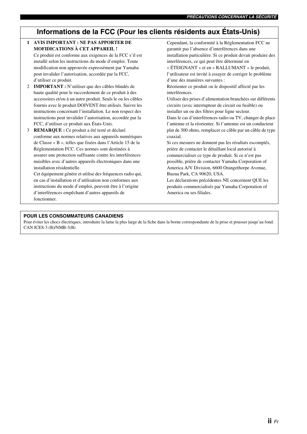### **Informations de la FCC (Pour les clients résidents aux États-Unis)**

### **1 AVIS IMPORTANT : NE PAS APPORTER DE MOFIDICATIONS À CET APPAREIL !** Ce produit est conforme aux exigences de la FCC s'il est installé selon les instructions du mode d'emploi. Toute modification non approuvée expressément par Yamaha peut invalider l'autorisation, accordée par la FCC, d'utiliser ce produit.

- 2 **IMPORTANT :** N'utiliser que des câbles blindés de haute qualité pour le raccordement de ce produit à des accessoires et/ou à un autre produit. Seuls le ou les câbles fournis avec le produit DOIVENT être utilisés. Suivre les instructions concernant l'installation. Le non respect des instructions peut invalider l'autorisation, accordée par la FCC, d'utiliser ce produit aux États-Unis.
- 3 **REMARQUE :** Ce produit a été testé et déclaré conforme aux normes relatives aux appareils numériques de Classe « B », telles que fixées dans l'Article 15 de la Réglementation FCC. Ces normes sont destinées à assurer une protection suffisante contre les interférences nuisibles avec d'autres appareils électroniques dans une installation résidentielle.

Cet équipement génère et utilise des fréquences radio qui, en cas d'installation et d'utilisation non conformes aux instructions du mode d'emploi, peuvent être à l'origine d'interférences empêchant d'autres appareils de fonctionner.

Cependant, la conformité à la Réglementation FCC ne garantit pas l'absence d'interférences dans une installation particulière. Si ce produit devait produire des interférences, ce qui peut être déterminé en « ÉTEIGNANT » et en « RALLUMANT » le produit, l'utilisateur est invité à essayer de corriger le problème d'une des manières suivantes : Réorienter ce produit ou le dispositif affecté par les interférences. Utiliser des prises d'alimentation branchées sur différents circuits (avec interrupteur de circuit ou fusible) ou installer un ou des filtres pour ligne secteur. Dans le cas d'interférences radio ou TV, changer de place l'antenne et la réorienter. Si l'antenne est un conducteur plat de 300 ohms, remplacer ce câble par un câble de type coaxial. Si ces mesures ne donnent pas les résultats escomptés, prière de contacter le détaillant local autorisé à commercialiser ce type de produit. Si ce n'est pas possible, prière de contacter Yamaha Corporation of America A/V Division, 6600 Orangethorpe Avenue,

Les déclarations précédentes NE concernent QUE les produits commercialisés par Yamaha Corporation of America ou ses filiales.

Buena Park, CA 90620, USA.

#### **POUR LES CONSOMMATEURS CANADIENS**

Pour éviter les chocs électriques, introduire la lame la plus large de la fiche dans la borne correspondante de la prise et pousser jusqu'au fond. CAN ICES-3 (B)/NMB-3(B)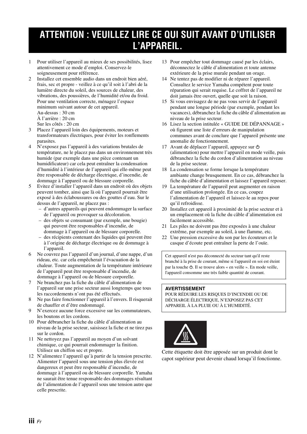# **ATTENTION : VEUILLEZ LIRE CE QUI SUIT AVANT D'UTILISER L'APPAREIL.**

- 1 Pour utiliser l'appareil au mieux de ses possibilités, lisez attentivement ce mode d'emploi. Conservez-le soigneusement pour référence.
- 2 Installez cet ensemble audio dans un endroit bien aéré, frais, sec et propre - veillez à ce qu'il soit à l'abri de la lumière directe du soleil, des sources de chaleur, des vibrations, des poussières, de l'humidité et/ou du froid. Pour une ventilation correcte, ménagez l'espace minimum suivant autour de cet appareil. Au-dessus : 30 cm À l'arrière : 20 cm Sur les côtés : 20 cm
- 3 Placez l'appareil loin des équipements, moteurs et transformateurs électriques, pour éviter les ronflements parasites.
- 4 N'exposez pas l'appareil à des variations brutales de température, ne le placez pas dans un environnement très humide (par exemple dans une pièce contenant un humidificateur) car cela peut entraîner la condensation d'humidité à l'intérieur de l'appareil qui elle-même peut être responsable de décharge électrique, d'incendie, de dommage à l'appareil ou de blessure corporelle.
- 5 Evitez d'installer l'appareil dans un endroit où des objets peuvent tomber, ainsi que là où l'appareil pourrait être exposé à des éclaboussures ou des gouttes d'eau. Sur le dessus de l'appareil, ne placez pas :
	- d'autres appareils qui peuvent endommager la surface de l'appareil ou provoquer sa décoloration.
	- des objets se consumant (par exemple, une bougie) qui peuvent être responsables d'incendie, de dommage à l'appareil ou de blessure corporelle.
	- des récipients contenant des liquides qui peuvent être à l'origine de décharge électrique ou de dommage à l'appareil.
- 6 Ne couvrez pas l'appareil d'un journal, d'une nappe, d'un rideau, etc. car cela empêcherait l'évacuation de la chaleur. Toute augmentation de la température intérieure de l'appareil peut être responsable d'incendie, de dommage à l'appareil ou de blessure corporelle.
- 7 Ne branchez pas la fiche du câble d'alimentation de l'appareil sur une prise secteur aussi longtemps que tous les raccordements n'ont pas été effectués.
- 8 Ne pas faire fonctionner l'appareil à l'envers. Il risquerait de chauffer et d'être endommagé.
- N'exercez aucune force excessive sur les commutateurs, les boutons et les cordons.
- 10 Pour débrancher la fiche du câble d'alimentation au niveau de la prise secteur, saisissez la fiche et ne tirez pas sur le cordon.
- 11 Ne nettoyez pas l'appareil au moyen d'un solvant chimique, ce qui pourrait endommager la finition. Utilisez un chiffon sec et propre.
- 12 N'alimentez l'appareil qu'à partir de la tension prescrite. Alimenter l'appareil sous une tension plus élevée est dangereux et peut être responsable d'incendie, de dommage à l'appareil ou de blessure corporelle. Yamaha ne saurait être tenue responsable des dommages résultant de l'alimentation de l'appareil sous une tension autre que celle prescrite.
- 13 Pour empêcher tout dommage causé par les éclairs, déconnectez le câble d'alimentation et toute antenne extérieure de la prise murale pendant un orage.
- 14 Ne tentez pas de modifier ni de réparer l'appareil. Consultez le service Yamaha compétent pour toute réparation qui serait requise. Le coffret de l'appareil ne doit jamais être ouvert, quelle que soit la raison.
- 15 Si vous envisagez de ne pas vous servir de l'appareil pendant une longue période (par exemple, pendant les vacances), débranchez la fiche du câble d'alimentation au niveau de la prise secteur.
- 16 Lisez la section intitulée « GUIDE DE DÉPANNAGE » où figurent une liste d'erreurs de manipulation communes avant de conclure que l'appareil présente une anomalie de fonctionnement.
- 17 Avant de déplacer l'appareil, appuyez sur  $\Phi$ (alimentation) pour mettre l'appareil en mode veille, puis débranchez la fiche du cordon d'alimentation au niveau de la prise secteur.
- 18 La condensation se forme lorsque la température ambiante change brusquement. En ce cas, débranchez la fiche du câble d'alimentation et laissez l'appareil reposer.
- 19 La température de l'appareil peut augmenter en raison d'une utilisation prolongée. En ce cas, coupez l'alimentation de l'appareil et laissez-le au repos pour qu'il refroidisse.
- 20 Installez cet appareil à proximité de la prise secteur et à un emplacement où la fiche du câble d'alimentation est facilement accessible.
- 21 Les piles ne doivent pas être exposées à une chaleur extrême, par exemple au soleil, à une flamme, etc.
- 22 Une pression excessive du son par les écouteurs et le casque d'écoute peut entraîner la perte de l'ouïe.

Cet appareil n'est pas déconnecté du secteur tant qu'il reste branché à la prise de courant, même si l'appareil en soi est éteint par la touche  $\Phi$ . Il se trouve alors « en veille ». En mode veille, l'appareil consomme une très faible quantité de courant.

### **AVERTISSEMENT**

POUR RÉDUIRE LES RISQUES D'INCENDIE OU DE DÉCHARGE ÉLECTRIQUE, N'EXPOSEZ PAS CET APPAREIL À LA PLUIE OU À L'HUMIDITÉ.



Cette étiquette doit être apposée sur un produit dont le capot supérieur peut devenir chaud lorsqu'il fonctionne.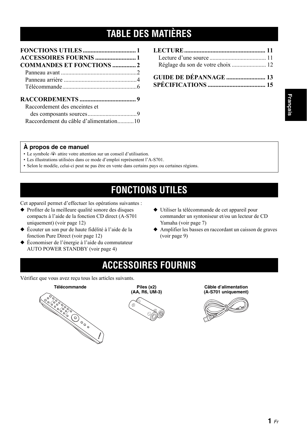# **TABLE DES MATIÈRES**

| <b>ACCESSOIRES FOURNIS  1</b>          |  |
|----------------------------------------|--|
|                                        |  |
|                                        |  |
|                                        |  |
|                                        |  |
|                                        |  |
| Raccordement des enceintes et          |  |
|                                        |  |
| Raccordement du câble d'alimentation10 |  |

| GUIDE DE DÉPANNAGE  13 |  |
|------------------------|--|
|                        |  |

### **À propos de ce manuel**

- Le symbole  $\frac{1}{2}$  attire votre attention sur un conseil d'utilisation.
- Les illustrations utilisées dans ce mode d'emploi représentent l'A-S701.
- Selon le modèle, celui-ci peut ne pas être en vente dans certains pays ou certaines régions.

# **FONCTIONS UTILES**

<span id="page-23-0"></span>Cet appareil permet d'effectuer les opérations suivantes :

- ◆ Profiter de la meilleure qualité sonore des disques compacts à l'aide de la fonction CD direct (A-S701 uniquement) (voir page [12\)](#page-34-1)
- ◆ Écouter un son pur de haute fidélité à l'aide de la fonction Pure Direct (voir page [12\)](#page-34-2)
- ◆ Économiser de l'énergie à l'aide du commutateur AUTO POWER STANDBY (voir page [4\)](#page-26-1)
- ◆ Utiliser la télécommande de cet appareil pour commander un syntoniseur et/ou un lecteur de CD Yamaha (voir page [7](#page-29-0))
- ◆ Amplifier les basses en raccordant un caisson de graves (voir page [9\)](#page-31-2)

# **ACCESSOIRES FOURNIS**

<span id="page-23-1"></span>Vérifiez que vous avez reçu tous les articles suivants.

### **Télécommande Piles (x2)**





### **Câble d'alimentation (A-S701 uniquement)**

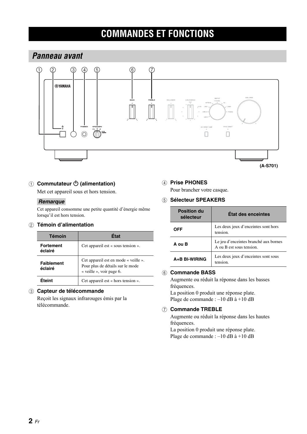# **COMMANDES ET FONCTIONS**

### <span id="page-24-2"></span><span id="page-24-1"></span><span id="page-24-0"></span>*Panneau avant*



**① Commutateur ① (alimentation)** 

Met cet appareil sous et hors tension.

### *Remarque*

Cet appareil consomme une petite quantité d'énergie même lorsqu'il est hors tension.

### 2 **Témoin d'alimentation**

| <b>Témoin</b>                | <b>Etat</b>                                                                                          |
|------------------------------|------------------------------------------------------------------------------------------------------|
| <b>Fortement</b><br>éclairé  | Cet appareil est « sous tension ».                                                                   |
| <b>Faiblement</b><br>éclairé | Cet appareil est en mode « veille ».<br>Pour plus de détails sur le mode<br>« veille », voir page 6. |
| Fteint                       | Cet appareil est « hors tension ».                                                                   |

### 3 **Capteur de télécommande**

Reçoit les signaux infrarouges émis par la télécommande.

### 4 **Prise PHONES**

Pour brancher votre casque.

### 5 **Sélecteur SPEAKERS**

| <b>Position du</b><br>sélecteur | <b>Etat des enceintes</b>                                         |
|---------------------------------|-------------------------------------------------------------------|
| OFF                             | Les deux jeux d'enceintes sont hors<br>tension.                   |
| A ou B                          | Le jeu d'enceintes branché aux bornes<br>A ou B est sous tension. |
| A+B BI-WIRING                   | Les deux jeux d'enceintes sont sous<br>tension                    |

### 6 **Commande BASS**

Augmente ou réduit la réponse dans les basses fréquences.

La position 0 produit une réponse plate. Plage de commande : –10 dB à +10 dB

### 7 **Commande TREBLE**

Augmente ou réduit la réponse dans les hautes fréquences.

La position 0 produit une réponse plate. Plage de commande : –10 dB à +10 dB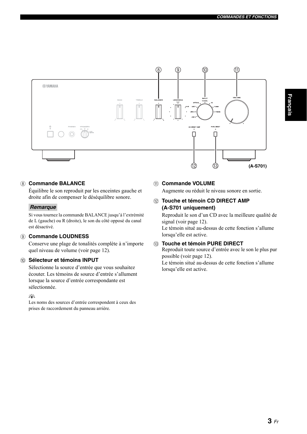

### <span id="page-25-0"></span>8 **Commande BALANCE**

Équilibre le son reproduit par les enceintes gauche et droite afin de compenser le déséquilibre sonore.

### *Remarque*

Si vous tournez la commande BALANCE jusqu'à l'extrémité de L (gauche) ou R (droite), le son du côté opposé du canal est désactivé.

### 9 **Commande LOUDNESS**

Conserve une plage de tonalités complète à n'importe quel niveau de volume (voir page [12\)](#page-34-3).

### 0 **Sélecteur et témoins INPUT**

Sélectionne la source d'entrée que vous souhaitez écouter. Les témoins de source d'entrée s'allument lorsque la source d'entrée correspondante est sélectionnée.

### √¦∕<br>∠`®

Les noms des sources d'entrée correspondent à ceux des prises de raccordement du panneau arrière.

### A **Commande VOLUME**

Augmente ou réduit le niveau sonore en sortie.

**(12) Touche et témoin CD DIRECT AMP (A-S701 uniquement)**

Reproduit le son d'un CD avec la meilleure qualité de signal (voir page [12\)](#page-34-1). Le témoin situé au-dessus de cette fonction s'allume lorsqu'elle est active.

### **(3) Touche et témoin PURE DIRECT**

Reproduit toute source d'entrée avec le son le plus pur possible (voir page [12\)](#page-34-4). Le témoin situé au-dessus de cette fonction s'allume lorsqu'elle est active.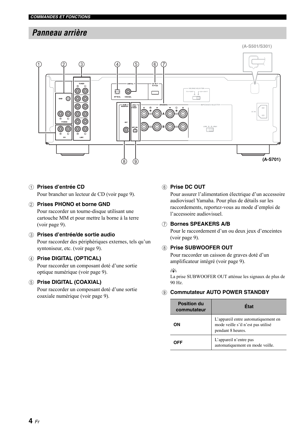### <span id="page-26-0"></span>*Panneau arrière*



### 1 **Prises d'entrée CD**

Pour brancher un lecteur de CD (voir page [9](#page-31-2)).

### 2 **Prises PHONO et borne GND**

Pour raccorder un tourne-disque utilisant une cartouche MM et pour mettre la borne à la terre (voir page [9\)](#page-31-2).

### 3 **Prises d'entrée/de sortie audio**

Pour raccorder des périphériques externes, tels qu'un syntoniseur, etc. (voir page [9](#page-31-2)).

### 4 **Prise DIGITAL (OPTICAL)**

Pour raccorder un composant doté d'une sortie optique numérique (voir page [9\)](#page-31-2).

### 5 **Prise DIGITAL (COAXIAL)**

Pour raccorder un composant doté d'une sortie coaxiale numérique (voir page [9\)](#page-31-2).

### 6 **Prise DC OUT**

Pour assurer l'alimentation électrique d'un accessoire audiovisuel Yamaha. Pour plus de détails sur les raccordements, reportez-vous au mode d'emploi de l'accessoire audiovisuel.

### 7 **Bornes SPEAKERS A/B**

Pour le raccordement d'un ou deux jeux d'enceintes (voir page [9\)](#page-31-2).

### 8 **Prise SUBWOOFER OUT**

Pour raccorder un caisson de graves doté d'un amplificateur intégré (voir page [9](#page-31-2)).

#### $\leq$   $\leq$

<span id="page-26-1"></span>La prise SUBWOOFER OUT atténue les signaux de plus de 90 Hz.

### 9 **Commutateur AUTO POWER STANDBY**

| <b>Position du</b><br>commutateur | État                                                                                           |
|-----------------------------------|------------------------------------------------------------------------------------------------|
| OΝ                                | L'appareil entre automatiquement en<br>mode veille s'il n'est pas utilisé<br>pendant 8 heures. |
| ΩFΕ                               | L'appareil n'entre pas<br>automatiquement en mode veille.                                      |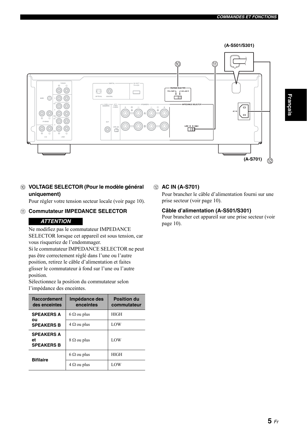

### 0 **VOLTAGE SELECTOR (Pour le modèle général uniquement)**

Pour régler votre tension secteur locale (voir page [10](#page-32-1)).

### A **Commutateur IMPEDANCE SELECTOR**

### <span id="page-27-0"></span>*ATTENTION*

Ne modifiez pas le commutateur IMPEDANCE SELECTOR lorsque cet appareil est sous tension, car vous risqueriez de l'endommager.

Si le commutateur IMPEDANCE SELECTOR ne peut pas être correctement réglé dans l'une ou l'autre position, retirez le câble d'alimentation et faites glisser le commutateur à fond sur l'une ou l'autre position.

Sélectionnez la position du commutateur selon l'impédance des enceintes.

| <b>Raccordement</b><br>des enceintes         | Impédance des<br>enceintes | <b>Position du</b><br>commutateur |
|----------------------------------------------|----------------------------|-----------------------------------|
| <b>SPEAKERS A</b>                            | $6 \Omega$ ou plus         | <b>HIGH</b>                       |
| ou<br><b>SPEAKERS B</b>                      | $4 \Omega$ ou plus         | LOW                               |
| <b>SPEAKERS A</b><br>еt<br><b>SPEAKERS B</b> | $8 \Omega$ ou plus         | LOW                               |
| <b>Bifilaire</b>                             | $6 \Omega$ ou plus         | <b>HIGH</b>                       |
|                                              | $4 \Omega$ ou plus         | LOW                               |

### B **AC IN (A-S701)**

Pour brancher le câble d'alimentation fourni sur une prise secteur (voir page [10](#page-32-2)).

### **Câble d'alimentation (A-S501/S301)**

Pour brancher cet appareil sur une prise secteur (voir page [10](#page-32-2)).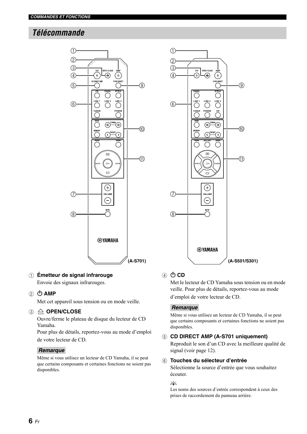### <span id="page-28-0"></span>*Télécommande*



### 1 **Émetteur de signal infrarouge**

Envoie des signaux infrarouges.

### ② **小 AMP**

Met cet appareil sous tension ou en mode veille.

### 3 **OPEN/CLOSE**

Ouvre/ferme le plateau de disque du lecteur de CD Yamaha.

Pour plus de détails, reportez-vous au mode d'emploi de votre lecteur de CD.

### *Remarque*

Même si vous utilisez un lecteur de CD Yamaha, il se peut que certains composants et certaines fonctions ne soient pas disponibles.



### ④ **OD**

Met le lecteur de CD Yamaha sous tension ou en mode veille. Pour plus de détails, reportez-vous au mode d'emploi de votre lecteur de CD.

### *Remarque*

Même si vous utilisez un lecteur de CD Yamaha, il se peut que certains composants et certaines fonctions ne soient pas disponibles.

### 5 **CD DIRECT AMP (A-S701 uniquement)**

Reproduit le son d'un CD avec la meilleure qualité de signal (voir page [12\)](#page-34-1).

#### 6 **Touches du sélecteur d'entrée**

Sélectionne la source d'entrée que vous souhaitez écouter.

#### $\frac{y}{x} =$

Les noms des sources d'entrée correspondent à ceux des prises de raccordement du panneau arrière.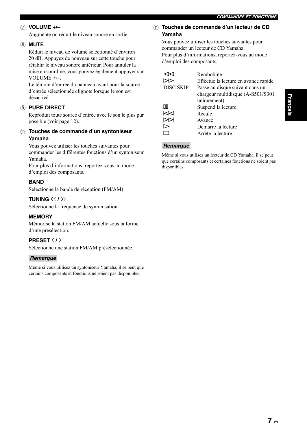### 7 **VOLUME +/–**

<span id="page-29-1"></span>Augmente ou réduit le niveau sonore en sortie.

### 8 **MUTE**

Réduit le niveau de volume sélectionné d'environ 20 dB. Appuyez de nouveau sur cette touche pour rétablir le niveau sonore antérieur. Pour annuler la mise en sourdine, vous pouvez également appuyer sur VOLUME +/–.

Le témoin d'entrée du panneau avant pour la source d'entrée sélectionnée clignote lorsque le son est désactivé.

### 9 **PURE DIRECT**

Reproduit toute source d'entrée avec le son le plus pur possible (voir page [12\)](#page-34-4).

### 0 **Touches de commande d'un syntoniseur Yamaha**

Vous pouvez utiliser les touches suivantes pour commander les différentes fonctions d'un syntoniseur Yamaha.

Pour plus d'informations, reportez-vous au mode d'emploi des composants.

### **BAND**

Sélectionne la bande de réception (FM/AM).

### **TUNING**  $\langle\langle$  **/**  $\rangle\rangle$

Sélectionne la fréquence de syntonisation.

### **MEMORY**

Mémorise la station FM/AM actuelle sous la forme d'une présélection.

### **PRESET**  $\langle$  /  $\rangle$

Sélectionne une station FM/AM présélectionnée.

#### *Remarque*

Même si vous utilisez un syntoniseur Yamaha, il se peut que certains composants et fonctions ne soient pas disponibles.

### <span id="page-29-0"></span>A **Touches de commande d'un lecteur de CD Yamaha**

Vous pouvez utiliser les touches suivantes pour commander un lecteur de CD Yamaha. Pour plus d'informations, reportez-vous au mode d'emploi des composants.

|                  | Rembobine                            |
|------------------|--------------------------------------|
|                  | Effectue la lecture en avance rapide |
| <b>DISC SKIP</b> | Passe au disque suivant dans un      |
|                  | chargeur multidisque (A-S501/S301)   |
|                  | uniquement)                          |
| ПO               | Suspend la lecture                   |
| KKI              | Recule                               |
|                  | Avance                               |
|                  | Démarre la lecture                   |
|                  | Arrête la lecture                    |

### *Remarque*

Même si vous utilisez un lecteur de CD Yamaha, il se peut que certains composants et certaines fonctions ne soient pas disponibles.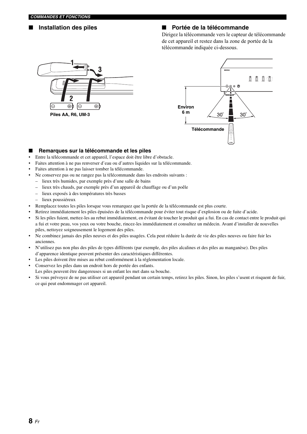### ■ **Installation des piles** ■ **Portée de la télécommande**

Dirigez la télécommande vers le capteur de télécommande de cet appareil et restez dans la zone de portée de la télécommande indiquée ci-dessous.





### ■ **Remarques sur la télécommande et les piles**

- Entre la télécommande et cet appareil, l'espace doit être libre d'obstacle.
- Faites attention à ne pas renverser d'eau ou d'autres liquides sur la télécommande.
- Faites attention à ne pas laisser tomber la télécommande.
- Ne conservez pas ou ne rangez pas la télécommande dans les endroits suivants :
	- lieux très humides, par exemple près d'une salle de bains
	- lieux très chauds, par exemple près d'un appareil de chauffage ou d'un poêle
	- lieux exposés à des températures très basses
	- lieux poussiéreux
- Remplacez toutes les piles lorsque vous remarquez que la portée de la télécommande est plus courte.
- Retirez immédiatement les piles épuisées de la télécommande pour éviter tout risque d'explosion ou de fuite d'acide.
- Si les piles fuient, mettez-les au rebut immédiatement, en évitant de toucher le produit qui a fui. En cas de contact entre le produit qui a fui et votre peau, vos yeux ou votre bouche, rincez-les immédiatement et consultez un médecin. Avant d'installer de nouvelles piles, nettoyez soigneusement le logement des piles.
- Ne combinez jamais des piles neuves et des piles usagées. Cela peut réduire la durée de vie des piles neuves ou faire fuir les anciennes.
- N'utilisez pas non plus des piles de types différents (par exemple, des piles alcalines et des piles au manganèse). Des piles d'apparence identique peuvent présenter des caractéristiques différentes.
- Les piles doivent être mises au rebut conformément à la réglementation locale.
- Conservez les piles dans un endroit hors de portée des enfants.
- Les piles peuvent être dangereuses si un enfant les met dans sa bouche.
- Si vous prévoyez de ne pas utiliser cet appareil pendant un certain temps, retirez les piles. Sinon, les piles s'usent et risquent de fuir, ce qui peut endommager cet appareil.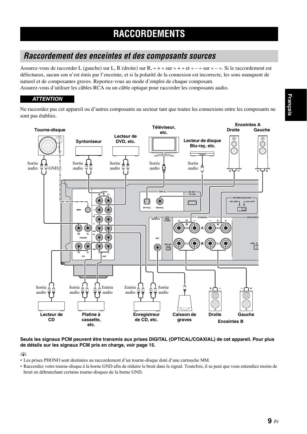### <span id="page-31-2"></span><span id="page-31-1"></span><span id="page-31-0"></span>*Raccordement des enceintes et des composants sources*

Assurez-vous de raccorder L (gauche) sur L, R (droite) sur R, « + » sur « + » et « – » sur « – ». Si le raccordement est défectueux, aucun son n'est émis par l'enceinte, et si la polarité de la connexion est incorrecte, les sons manquent de naturel et de composantes graves. Reportez-vous au mode d'emploi de chaque composant.

Assurez-vous d'utiliser les câbles RCA ou un câble optique pour raccorder les composants audio.

### *ATTENTION*

Ne raccordez pas cet appareil ou d'autres composants au secteur tant que toutes les connexions entre les composants ne sont pas établies.



### **Seuls les signaux PCM peuvent être transmis aux prises DIGITAL (OPTICAL/COAXIAL) de cet appareil. Pour plus de détails sur les signaux PCM pris en charge, [voir page 15](#page-37-1).**

 $\geq 0$ 

- Les prises PHONO sont destinées au raccordement d'un tourne-disque doté d'une cartouche MM.
- Raccordez votre tourne-disque à la borne GND afin de réduire le bruit dans le signal. Toutefois, il se peut que vous entendiez moins de bruit en débranchant certains tourne-disques de la borne GND.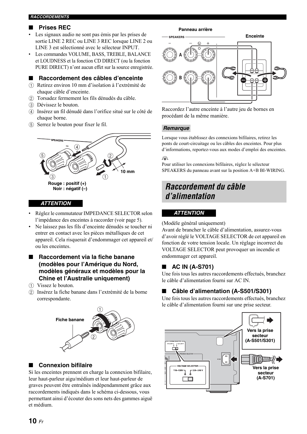### ■ **Prises REC**

- Les signaux audio ne sont pas émis par les prises de sortie LINE 2 REC ou LINE 3 REC lorsque LINE 2 ou LINE 3 est sélectionné avec le sélecteur INPUT.
- Les commandes VOLUME, BASS, TREBLE, BALANCE et LOUDNESS et la fonction CD DIRECT (ou la fonction PURE DIRECT) n'ont aucun effet sur la source enregistrée.

### <span id="page-32-1"></span>■ **Raccordement des câbles d'enceinte**

- 1 Retirez environ 10 mm d'isolation à l'extrémité de chaque câble d'enceinte.
- 2 Torsadez fermement les fils dénudés du câble.
- 3 Dévissez le bouton.
- 4 Insérez un fil dénudé dans l'orifice situé sur le côté de chaque borne.
- 5 Serrez le bouton pour fixer le fil.



### *ATTENTION*

- Réglez le commutateur IMPEDANCE SELECTOR selon l'impédance des enceintes à raccorder (voir page [5](#page-27-0)).
- Ne laissez pas les fils d'enceinte dénudés se toucher ni entrer en contact avec les pièces métalliques de cet appareil. Cela risquerait d'endommager cet appareil et/ ou les enceintes.
- **Raccordement via la fiche banane (modèles pour l'Amérique du Nord, modèles généraux et modèles pour la Chine et l'Australie uniquement)**
- 1 Vissez le bouton.
- 2 Insérez la fiche banane dans l'extrémité de la borne correspondante.



### <span id="page-32-3"></span>■ **Connexion bifilaire**

Si les enceintes prennent en charge la connexion bifilaire, leur haut-parleur aigu/médium et leur haut-parleur de graves peuvent être entraînés indépendamment grâce aux raccordements indiqués dans le schéma ci-dessous, vous permettant ainsi d'écouter des sons nets des gammes aiguë et médium.

#### **Panneau arrière**



Raccordez l'autre enceinte à l'autre jeu de bornes en procédant de la même manière.

### *Remarque*

Lorsque vous établissez des connexions bifilaires, retirez les ponts de court-circuitage ou les câbles des enceintes. Pour plus d'informations, reportez-vous aux modes d'emploi des enceintes.

### $\geq 0$

Pour utiliser les connexions bifilaires, réglez le sélecteur SPEAKERS du panneau avant sur la position A+B BI-WIRING.

### <span id="page-32-2"></span><span id="page-32-0"></span>*Raccordement du câble d'alimentation*

### *ATTENTION*

(Modèle général uniquement)

Avant de brancher le câble d'alimentation, assurez-vous d'avoir réglé le VOLTAGE SELECTOR de cet appareil en fonction de votre tension locale. Un réglage incorrect du VOLTAGE SELECTOR peut provoquer un incendie et endommager cet appareil.

### ■ **AC IN (A-S701)**

Une fois tous les autres raccordements effectués, branchez le câble d'alimentation fourni sur AC IN.

### ■ Câble d'alimentation (A-S501/S301)

Une fois tous les autres raccordements effectués, branchez le câble d'alimentation fourni sur une prise secteur.

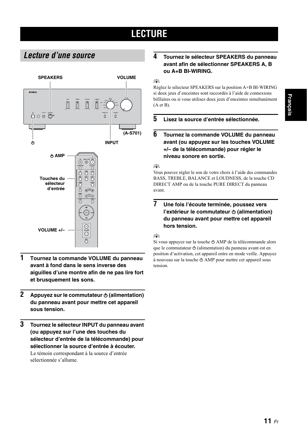# **LECTURE**

### <span id="page-33-2"></span><span id="page-33-1"></span><span id="page-33-0"></span>*Lecture d'une source*



- **1 Tournez la commande VOLUME du panneau avant à fond dans le sens inverse des aiguilles d'une montre afin de ne pas lire fort et brusquement les sons.**
- **2 Appuyez sur le commutateur**  $\phi$  **(alimentation) du panneau avant pour mettre cet appareil sous tension.**
- **3 Tournez le sélecteur INPUT du panneau avant (ou appuyez sur l'une des touches du sélecteur d'entrée de la télécommande) pour sélectionner la source d'entrée à écouter.** Le témoin correspondant à la source d'entrée sélectionnée s'allume.

### **4 Tournez le sélecteur SPEAKERS du panneau avant afin de sélectionner SPEAKERS A, B ou A+B BI-WIRING.**

### $\leq \phi'$

Réglez le sélecteur SPEAKERS sur la position A+B BI-WIRING si deux jeux d'enceintes sont raccordés à l'aide de connexions bifilaires ou si vous utilisez deux jeux d'enceintes simultanément (A et B).

### **5 Lisez la source d'entrée sélectionnée.**

### **6 Tournez la commande VOLUME du panneau avant (ou appuyez sur les touches VOLUME +/– de la télécommande) pour régler le niveau sonore en sortie.**

#### $\geq 0$

Vous pouvez régler le son de votre choix à l'aide des commandes BASS, TREBLE, BALANCE et LOUDNESS, de la touche CD DIRECT AMP ou de la touche PURE DIRECT du panneau avant.

### **7 Une fois l'écoute terminée, poussez vers l'extérieur le commutateur**  $\phi$  **(alimentation) du panneau avant pour mettre cet appareil hors tension.**

### $\geq 0$

Si vous appuyez sur la touche  $\Phi$  AMP de la télécommande alors que le commutateur  $\Phi$  (alimentation) du panneau avant est en position d'activation, cet appareil entre en mode veille. Appuyez  $\alpha$  nouveau sur la touche  $\alpha$  AMP pour mettre cet appareil sous tension.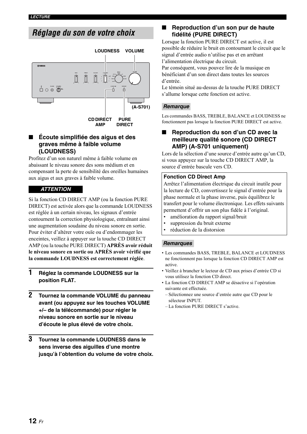### <span id="page-34-2"></span><span id="page-34-0"></span>*Réglage du son de votre choix*



### <span id="page-34-3"></span>**Ecoute simplifiée des aigus et des graves même à faible volume (LOUDNESS)**

Profitez d'un son naturel même à faible volume en abaissant le niveau sonore des sons médium et en compensant la perte de sensibilité des oreilles humaines aux aigus et aux graves à faible volume.

### *ATTENTION*

Si la fonction CD DIRECT AMP (ou la fonction PURE DIRECT) est activée alors que la commande LOUDNESS est réglée à un certain niveau, les signaux d'entrée contournent la correction physiologique, entraînant ainsi une augmentation soudaine du niveau sonore en sortie. Pour éviter d'altérer votre ouïe ou d'endommager les enceintes, veillez à appuyer sur la touche CD DIRECT AMP (ou la touche PURE DIRECT) **APRÈS avoir réduit le niveau sonore en sortie ou APRÈS avoir vérifié que la commande LOUDNESS est correctement réglée**.

- **1 Réglez la commande LOUDNESS sur la position FLAT.**
- **2 Tournez la commande VOLUME du panneau avant (ou appuyez sur les touches VOLUME +/– de la télécommande) pour régler le niveau sonore en sortie sur le niveau d'écoute le plus élevé de votre choix.**
- **3 Tournez la commande LOUDNESS dans le sens inverse des aiguilles d'une montre jusqu'à l'obtention du volume de votre choix.**

### <span id="page-34-4"></span>■ **Reproduction d'un son pur de haute fidélité (PURE DIRECT)**

Lorsque la fonction PURE DIRECT est active, il est possible de réduire le bruit en contournant le circuit que le signal d'entrée audio n'utilise pas et en arrêtant l'alimentation électrique du circuit.

Par conséquent, vous pouvez lire de la musique en bénéficiant d'un son direct dans toutes les sources d'entrée.

Le témoin situé au-dessus de la touche PURE DIRECT s'allume lorsque cette fonction est active.

### **(A-S701)** *Remarque*

Les commandes BASS, TREBLE, BALANCE et LOUDNESS ne fonctionnent pas lorsque la fonction PURE DIRECT est active.

### <span id="page-34-1"></span>**Reproduction du son d'un CD avec la meilleure qualité sonore (CD DIRECT AMP) (A-S701 uniquement)**

Lors de la sélection d'une source d'entrée autre qu'un CD, si vous appuyez sur la touche CD DIRECT AMP, la source d'entrée bascule vers CD.

### **Fonction CD Direct Amp**

Arrêtez l'alimentation électrique du circuit inutile pour la lecture de CD, convertissez le signal d'entrée pour la phase normale et la phase inverse, puis équilibrez le transfert pour le volume électronique. Les effets suivants permettent d'offrir un son plus fidèle à l'original.

- amélioration du rapport signal/bruit
- suppression du bruit externe
- réduction de la distorsion

### *Remarques*

- Les commandes BASS, TREBLE, BALANCE et LOUDNESS ne fonctionnent pas lorsque la fonction CD DIRECT AMP est active.
- Veillez à brancher le lecteur de CD aux prises d'entrée CD si vous utilisez la fonction CD direct.
- La fonction CD DIRECT AMP se désactive si l'opération suivante est effectuée.
	- Sélectionnez une source d'entrée autre que CD pour le sélecteur INPUT.
	- La fonction PURE DIRECT s'active.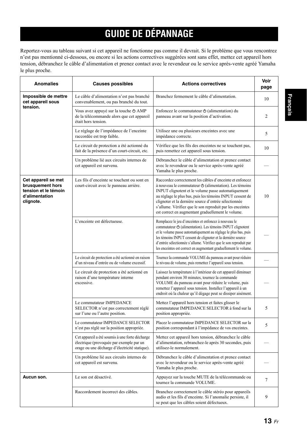# **GUIDE DE DÉPANNAGE**

<span id="page-35-0"></span>Reportez-vous au tableau suivant si cet appareil ne fonctionne pas comme il devrait. Si le problème que vous rencontrez n'est pas mentionné ci-dessous, ou encore si les actions correctives suggérées sont sans effet, mettez cet appareil hors tension, débranchez le câble d'alimentation et prenez contact avec le revendeur ou le service après-vente agréé Yamaha le plus proche.

| <b>Anomalies</b>                                                                               | <b>Causes possibles</b>                                                                                                                      | <b>Actions correctives</b>                                                                                                                                                                                                                                                                                                                                                                                              | Voir<br>page |
|------------------------------------------------------------------------------------------------|----------------------------------------------------------------------------------------------------------------------------------------------|-------------------------------------------------------------------------------------------------------------------------------------------------------------------------------------------------------------------------------------------------------------------------------------------------------------------------------------------------------------------------------------------------------------------------|--------------|
| Impossible de mettre<br>cet appareil sous                                                      | Le câble d'alimentation n'est pas branché<br>convenablement, ou pas branché du tout.                                                         | Branchez fermement le câble d'alimentation.                                                                                                                                                                                                                                                                                                                                                                             | 10           |
| tension.                                                                                       | Vous avez appuyé sur la touche $\triangle$ AMP<br>de la télécommande alors que cet appareil<br>était hors tension.                           | Enfoncez le commutateur $\Phi$ (alimentation) du<br>panneau avant sur la position d'activation.                                                                                                                                                                                                                                                                                                                         | 2            |
|                                                                                                | Le réglage de l'impédance de l'enceinte<br>raccordée est trop faible.                                                                        | Utilisez une ou plusieurs enceintes avec une<br>impédance correcte.                                                                                                                                                                                                                                                                                                                                                     | 5            |
|                                                                                                | Le circuit de protection a été actionné du<br>fait de la présence d'un court-circuit, etc.                                                   | Vérifiez que les fils des enceintes ne se touchent pas,<br>puis remettez cet appareil sous tension.                                                                                                                                                                                                                                                                                                                     | 10           |
|                                                                                                | Un problème lié aux circuits internes de<br>cet appareil est survenu.                                                                        | Débranchez le câble d'alimentation et prenez contact<br>avec le revendeur ou le service après-vente agréé<br>Yamaha le plus proche.                                                                                                                                                                                                                                                                                     |              |
| Cet appareil se met<br>brusquement hors<br>tension et le témoin<br>d'alimentation<br>clignote. | Les fils d'enceinte se touchent ou sont en<br>court-circuit avec le panneau arrière.                                                         | Raccordez correctement les câbles d'enceinte et enfoncez<br>à nouveau le commutateur $\Phi$ (alimentation). Les témoins<br>INPUT clignotent et le volume passe automatiquement<br>au réglage le plus bas, puis les témoins INPUT cessent de<br>clignoter et la dernière source d'entrée sélectionnée<br>s'allume. Vérifiez que le son reproduit par les enceintes<br>est correct en augmentant graduellement le volume. | 10           |
|                                                                                                | L'enceinte est défectueuse.                                                                                                                  | Remplacez le jeu d'enceintes et enfoncez à nouveau le<br>commutateur $\Phi$ (alimentation). Les témoins INPUT clignotent<br>et le volume passe automatiquement au réglage le plus bas, puis<br>les témoins INPUT cessent de clignoter et la dernière source<br>d'entrée sélectionnée s'allume. Vérifiez que le son reproduit par<br>les enceintes est correct en augmentant graduellement le volume.                    |              |
|                                                                                                | Le circuit de protection a été actionné en raison<br>d'un niveau d'entrée ou de volume excessif.                                             | Tournez la commande VOLUME du panneau avant pour réduire<br>le niveau de volume, puis remettez l'appareil sous tension.                                                                                                                                                                                                                                                                                                 |              |
|                                                                                                | Le circuit de protection a été actionné en<br>raison d'une température interne<br>excessive.                                                 | Laissez la température à l'intérieur de cet appareil diminuer<br>pendant environ 30 minutes, tournez la commande<br>VOLUME du panneau avant pour réduire le volume, puis<br>remettez l'appareil sous tension. Installez l'appareil à un<br>endroit où la chaleur qu'il dégage peut se dissiper aisément.                                                                                                                |              |
|                                                                                                | Le commutateur IMPEDANCE<br>SELECTOR n'est pas correctement réglé<br>sur l'une ou l'autre position.                                          | Mettez l'appareil hors tension et faites glisser le<br>commutateur IMPEDANCE SELECTOR à fond sur la<br>position appropriée.                                                                                                                                                                                                                                                                                             | 5            |
|                                                                                                | Le commutateur IMPEDANCE SELECTOR<br>n'est pas réglé sur la position appropriée.                                                             | Placez le commutateur IMPEDANCE SELECTOR sur la<br>position correspondant à l'impédance de vos enceintes.                                                                                                                                                                                                                                                                                                               | 5            |
|                                                                                                | Cet appareil a été soumis à une forte décharge<br>électrique (provoquée par exemple par un<br>orage ou une décharge d'électricité statique). | Mettez cet appareil hors tension, débranchez le câble<br>d'alimentation, rebranchez-le après 30 secondes, puis<br>utilisez-le normalement.                                                                                                                                                                                                                                                                              |              |
|                                                                                                | Un problème lié aux circuits internes de<br>cet appareil est survenu.                                                                        | Débranchez le câble d'alimentation et prenez contact<br>avec le revendeur ou le service après-vente agréé<br>Yamaha le plus proche.                                                                                                                                                                                                                                                                                     |              |
| Aucun son.                                                                                     | Le son est désactivé.                                                                                                                        | Appuyez sur la touche MUTE de la télécommande ou<br>tournez la commande VOLUME.                                                                                                                                                                                                                                                                                                                                         | $\tau$       |
|                                                                                                | Raccordement incorrect des câbles.                                                                                                           | Branchez correctement le câble stéréo pour appareils<br>audio et les fils d'enceinte. Si l'anomalie persiste, il<br>se peut que les câbles soient défectueux.                                                                                                                                                                                                                                                           | 9            |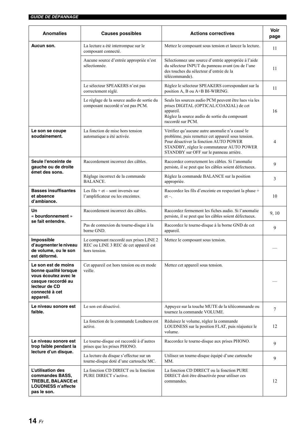| <b>Anomalies</b>                                                                                                                                                                 | <b>Causes possibles</b>                                                                                                                                                                                                           | <b>Actions correctives</b>                                                                                                                                                                                                             | Voir<br>page |
|----------------------------------------------------------------------------------------------------------------------------------------------------------------------------------|-----------------------------------------------------------------------------------------------------------------------------------------------------------------------------------------------------------------------------------|----------------------------------------------------------------------------------------------------------------------------------------------------------------------------------------------------------------------------------------|--------------|
| Aucun son.                                                                                                                                                                       | La lecture a été interrompue sur le<br>composant connecté.                                                                                                                                                                        | Mettez le composant sous tension et lancez la lecture.                                                                                                                                                                                 | 11           |
|                                                                                                                                                                                  | Sélectionnez une source d'entrée appropriée à l'aide<br>Aucune source d'entrée appropriée n'est<br>du sélecteur INPUT du panneau avant (ou de l'une<br>sélectionnée.<br>des touches du sélecteur d'entrée de la<br>télécommande). |                                                                                                                                                                                                                                        | 11           |
|                                                                                                                                                                                  | Le sélecteur SPEAKERS n'est pas<br>correctement réglé.                                                                                                                                                                            | Réglez le sélecteur SPEAKERS correspondant sur la<br>position A, B ou A+B BI-WIRING.                                                                                                                                                   | 11           |
|                                                                                                                                                                                  | Le réglage de la source audio de sortie du<br>composant raccordé n'est pas PCM.                                                                                                                                                   | Seuls les sources audio PCM peuvent être lues via les<br>prises DIGITAL (OPTICAL/COAXIAL) de cet<br>appareil.<br>Réglez la source audio de sortie du composant<br>raccordé sur PCM.                                                    | 16           |
| Le son se coupe<br>soudainement.                                                                                                                                                 | La fonction de mise hors tension<br>automatique a été activée.                                                                                                                                                                    | Vérifiez qu'aucune autre anomalie n'a causé le<br>problème, puis remettez cet appareil sous tension.<br>Pour désactiver la fonction AUTO POWER<br>STANDBY, réglez le commutateur AUTO POWER<br>STANDBY sur OFF sur le panneau arrière. | 4            |
| Seule l'enceinte de<br>gauche ou de droite                                                                                                                                       | Raccordement incorrect des câbles.                                                                                                                                                                                                | Raccordez correctement les câbles. Si l'anomalie<br>persiste, il se peut que les câbles soient défectueux.                                                                                                                             | 9            |
| émet des sons.                                                                                                                                                                   | Réglage incorrect de la commande<br><b>BALANCE.</b>                                                                                                                                                                               | Réglez la commande BALANCE sur la position<br>appropriée.                                                                                                                                                                              | 3            |
| <b>Basses insuffisantes</b><br>et absence<br>d'ambiance.                                                                                                                         | Les fils + $et$ – sont inversés sur<br>l'amplificateur ou les enceintes.                                                                                                                                                          | Raccordez les fils d'enceinte en respectant la phase +<br>$et -$                                                                                                                                                                       |              |
| Un<br>« bourdonnement »                                                                                                                                                          | Raccordement incorrect des câbles.                                                                                                                                                                                                | Raccordez fermement les fiches audio. Si l'anomalie<br>persiste, il se peut que les câbles soient défectueux.                                                                                                                          |              |
| se fait entendre.                                                                                                                                                                | Pas de connexion du tourne-disque à la<br>borne GND.                                                                                                                                                                              | Raccordez le tourne-disque à la borne GND de cet<br>appareil.                                                                                                                                                                          |              |
| Impossible<br>Le composant raccordé aux prises LINE 2<br>d'augmenter le niveau<br>REC ou LINE 3 REC de cet appareil est<br>de volume, ou le son<br>hors tension.<br>est déformé. |                                                                                                                                                                                                                                   | Mettez le composant sous tension.                                                                                                                                                                                                      |              |
| Le son est de moins<br>bonne qualité lorsque<br>vous écoutez avec le<br>casque raccordé au<br>lecteur de CD<br>connecté à cet<br>appareil.                                       | Cet appareil est hors tension ou en mode<br>veille.                                                                                                                                                                               | Mettez cet appareil sous tension.                                                                                                                                                                                                      |              |
| Le niveau sonore est<br>faible.                                                                                                                                                  | Le son est désactivé.                                                                                                                                                                                                             | Appuyez sur la touche MUTE de la télécommande ou<br>tournez la commande VOLUME.                                                                                                                                                        | 7            |
|                                                                                                                                                                                  | La fonction de la commande Loudness est<br>active.                                                                                                                                                                                | Réduisez le volume, réglez la commande<br>LOUDNESS sur la position FLAT, puis réajustez le<br>volume.                                                                                                                                  | 12           |
| Le niveau sonore est<br>trop faible pendant la                                                                                                                                   | Le tourne-disque est raccordé à d'autres<br>prises que les prises PHONO.                                                                                                                                                          | Raccordez le tourne-disque aux prises PHONO.                                                                                                                                                                                           | 9            |
| lecture d'un disque.                                                                                                                                                             | La lecture du disque s'effectue sur un<br>tourne-disque doté d'une cartouche MC.                                                                                                                                                  | Utilisez un tourne-disque équipé d'une cartouche<br>MM.                                                                                                                                                                                | 9            |
| L'utilisation des<br>commandes BASS,<br>TREBLE, BALANCE et<br><b>LOUDNESS n'affecte</b><br>pas le son.                                                                           | La fonction CD DIRECT ou la fonction<br>PURE DIRECT s'active.                                                                                                                                                                     | La fonction CD DIRECT ou la fonction PURE<br>DIRECT doit être désactivée pour utiliser ces<br>commandes.                                                                                                                               |              |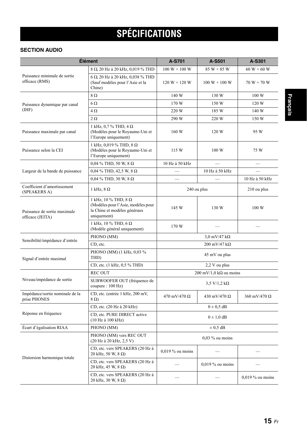# <span id="page-37-1"></span>**SPÉCIFICATIONS**

### <span id="page-37-0"></span>**SECTION AUDIO**

| Élément                                          |                                                                                                                  | A-S701                                     | A-S501                                        | A-S301             |
|--------------------------------------------------|------------------------------------------------------------------------------------------------------------------|--------------------------------------------|-----------------------------------------------|--------------------|
|                                                  | 8 Ω 20 Hz à 20 kHz, 0,019 % THD                                                                                  | $100 W + 100 W$                            | $85 W + 85 W$                                 | $60 W + 60 W$      |
| Puissance minimale de sortie<br>efficace (RMS)   | $6 \Omega$ , 20 Hz à 20 kHz, 0,038 % THD<br>(Sauf modèles pour l'Asie et la<br>Chine)                            | $120 W + 120 W$                            | $100 W + 100 W$                               | $70 W + 70 W$      |
|                                                  | $8\Omega$                                                                                                        | 140 W                                      | 130 W                                         | 100 W              |
| Puissance dynamique par canal                    | $6\Omega$                                                                                                        | 170 W                                      | 150 W                                         | 120 W              |
| (HHF)                                            | $4\Omega$                                                                                                        | 220 W                                      | 185 W                                         | 140 W              |
|                                                  | $2\,\Omega$                                                                                                      | 290 W                                      | 220 W                                         | 150 W              |
| Puissance maximale par canal                     | 1 kHz, 0,7 % THD, 4 $\Omega$<br>(Modèles pour le Royaume-Uni et<br>l'Europe uniquement)                          | 160 W                                      | 120 W                                         | 95 W               |
| Puissance selon la CEI                           | 1 kHz, 0,019 % THD, 8 $\Omega$<br>(Modèles pour le Royaume-Uni et<br>l'Europe uniquement)                        | 115 W                                      | 100 W                                         | 75 W               |
|                                                  | $0,04\%$ THD, 50 W, 8 $\Omega$                                                                                   | 10 Hz à 50 kHz                             |                                               |                    |
| Largeur de la bande de puissance                 | $0,04$ % THD, 42,5 W, 8 $\Omega$                                                                                 | $\overline{\phantom{0}}$                   | 10 Hz à 50 kHz                                |                    |
|                                                  | $0,04$ % THD, 30 W, 8 $\Omega$                                                                                   | $\overline{\phantom{0}}$                   |                                               | 10 Hz à 50 kHz     |
| Coefficient d'amortissement<br>(SPEAKERS A)      | 1 kHz, $8 \Omega$                                                                                                |                                            | 240 ou plus                                   | 210 ou plus        |
| Puissance de sortie maximale<br>efficace (JEITA) | 1 kHz, 10 % THD, 8 $\Omega$<br>(Modèles pour l'Asie, modèles pour<br>la Chine et modèles généraux<br>uniquement) | 145 W                                      | 130 W                                         | 100 W              |
|                                                  | 1 kHz, 10 % THD, 6 $\Omega$<br>(Modèle général uniquement)                                                       | 170 W                                      |                                               |                    |
| Sensibilité/impédance d'entrée                   | PHONO (MM)                                                                                                       | $3.0 \text{ mV}/47 \text{ k}\Omega$        |                                               |                    |
|                                                  | CD, etc.                                                                                                         |                                            | 200 mV/47 $k\Omega$                           |                    |
| Signal d'entrée maximal                          | PHONO (MM) (1 kHz, 0,03 %<br>THD)                                                                                |                                            | 45 mV ou plus                                 |                    |
|                                                  | CD, etc. (1 kHz, 0,5 % THD)                                                                                      |                                            | 2,2 V ou plus                                 |                    |
|                                                  | <b>REC OUT</b>                                                                                                   |                                            | $200 \text{ mV}/1,0 \text{ k}\Omega$ ou moins |                    |
| Niveau/impédance de sortie                       | SUBWOOFER OUT (fréquence de<br>coupure: 100 Hz)                                                                  |                                            | $3,5 \text{ V}/1,2 \text{ k}\Omega$           |                    |
| Impédance/sortie nominale de la<br>prise PHONES  | CD, etc. (entrée 1 kHz, 200 mV,<br>$8 \Omega$                                                                    | 470 mV/470 $\Omega$<br>430 mV/470 $\Omega$ |                                               | 360 mV/470 Ω       |
|                                                  | CD, etc. (20 Hz à 20 kHz)                                                                                        |                                            | $0 \pm 0.5$ dB                                |                    |
| Réponse en fréquence                             | CD, etc. PURE DIRECT active<br>(10 Hz à 100 kHz)                                                                 | $0 \pm 1.0$ dB                             |                                               |                    |
| Écart d'égalisation RIAA                         | PHONO (MM)                                                                                                       | $\pm$ 0.5 dB                               |                                               |                    |
|                                                  | PHONO (MM) vers REC OUT<br>(20 Hz à 20 kHz, 2,5 V)                                                               | $0,03$ % ou moins                          |                                               |                    |
|                                                  | CD, etc. vers SPEAKERS (20 Hz à<br>20 kHz, 50 W, 8 Ω)                                                            | $0,019\%$ ou moins                         |                                               |                    |
| Distorsion harmonique totale                     | CD, etc. vers SPEAKERS (20 Hz à<br>20 kHz, 45 W, 8 Ω)                                                            |                                            | $0.019\%$ ou moins                            |                    |
|                                                  | CD, etc. vers SPEAKERS (20 Hz à<br>20 kHz, 30 W, 8 Ω)                                                            |                                            |                                               | $0.019\%$ ou moins |